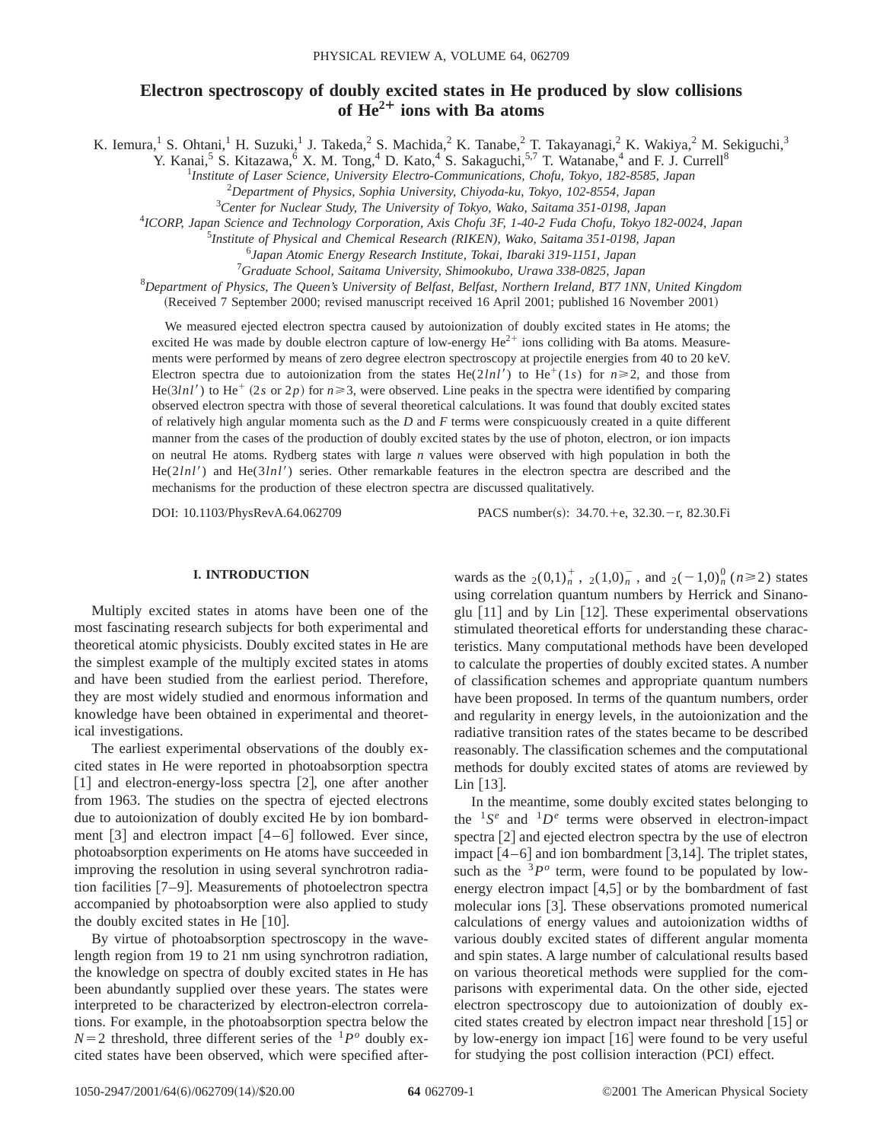# **Electron spectroscopy of doubly excited states in He produced by slow collisions of He2¿ ions with Ba atoms**

K. Iemura,<sup>1</sup> S. Ohtani,<sup>1</sup> H. Suzuki,<sup>1</sup> J. Takeda,<sup>2</sup> S. Machida,<sup>2</sup> K. Tanabe,<sup>2</sup> T. Takayanagi,<sup>2</sup> K. Wakiya,<sup>2</sup> M. Sekiguchi,<sup>3</sup>

Y. Kanai,<sup>5</sup> S. Kitazawa,<sup>6</sup> X. M. Tong,<sup>4</sup> D. Kato,<sup>4</sup> S. Sakaguchi,<sup>5,7</sup> T. Watanabe,<sup>4</sup> and F. J. Currell<sup>8</sup>

1 *Institute of Laser Science, University Electro-Communications, Chofu, Tokyo, 182-8585, Japan*

2 *Department of Physics, Sophia University, Chiyoda-ku, Tokyo, 102-8554, Japan*

3 *Center for Nuclear Study, The University of Tokyo, Wako, Saitama 351-0198, Japan*

4 *ICORP, Japan Science and Technology Corporation, Axis Chofu 3F, 1-40-2 Fuda Chofu, Tokyo 182-0024, Japan*

5 *Institute of Physical and Chemical Research (RIKEN), Wako, Saitama 351-0198, Japan*

6 *Japan Atomic Energy Research Institute, Tokai, Ibaraki 319-1151, Japan*

7 *Graduate School, Saitama University, Shimookubo, Urawa 338-0825, Japan*

8 *Department of Physics, The Queen's University of Belfast, Belfast, Northern Ireland, BT7 1NN, United Kingdom*

(Received 7 September 2000; revised manuscript received 16 April 2001; published 16 November 2001)

We measured ejected electron spectra caused by autoionization of doubly excited states in He atoms; the excited He was made by double electron capture of low-energy  $He^{2+}$  ions colliding with Ba atoms. Measurements were performed by means of zero degree electron spectroscopy at projectile energies from 40 to 20 keV. Electron spectra due to autoionization from the states He(2*lnl'*) to He<sup>+</sup>(1*s*) for  $n \ge 2$ , and those from  $He(3ln l')$  to He<sup>+</sup> (2*s* or 2*p*) for  $n \ge 3$ , were observed. Line peaks in the spectra were identified by comparing observed electron spectra with those of several theoretical calculations. It was found that doubly excited states of relatively high angular momenta such as the *D* and *F* terms were conspicuously created in a quite different manner from the cases of the production of doubly excited states by the use of photon, electron, or ion impacts on neutral He atoms. Rydberg states with large *n* values were observed with high population in both the He(2*lnl'*) and He(3*lnl'*) series. Other remarkable features in the electron spectra are described and the mechanisms for the production of these electron spectra are discussed qualitatively.

DOI: 10.1103/PhysRevA.64.062709 PACS number(s): 34.70.+e, 32.30.-r, 82.30.Fi

# **I. INTRODUCTION**

Multiply excited states in atoms have been one of the most fascinating research subjects for both experimental and theoretical atomic physicists. Doubly excited states in He are the simplest example of the multiply excited states in atoms and have been studied from the earliest period. Therefore, they are most widely studied and enormous information and knowledge have been obtained in experimental and theoretical investigations.

The earliest experimental observations of the doubly excited states in He were reported in photoabsorption spectra  $[1]$  and electron-energy-loss spectra  $[2]$ , one after another from 1963. The studies on the spectra of ejected electrons due to autoionization of doubly excited He by ion bombardment  $\lceil 3 \rceil$  and electron impact  $\lceil 4-6 \rceil$  followed. Ever since, photoabsorption experiments on He atoms have succeeded in improving the resolution in using several synchrotron radiation facilities  $[7-9]$ . Measurements of photoelectron spectra accompanied by photoabsorption were also applied to study the doubly excited states in He  $[10]$ .

By virtue of photoabsorption spectroscopy in the wavelength region from 19 to 21 nm using synchrotron radiation, the knowledge on spectra of doubly excited states in He has been abundantly supplied over these years. The states were interpreted to be characterized by electron-electron correlations. For example, in the photoabsorption spectra below the  $N=2$  threshold, three different series of the  ${}^{1}P^{o}$  doubly excited states have been observed, which were specified after-

wards as the  $_2(0,1)_n^+$ ,  $_2(1,0)_n^-$ , and  $_2(-1,0)_n^0$  ( $n \ge 2$ ) states using correlation quantum numbers by Herrick and Sinanoglu  $\lceil 11 \rceil$  and by Lin  $\lceil 12 \rceil$ . These experimental observations stimulated theoretical efforts for understanding these characteristics. Many computational methods have been developed to calculate the properties of doubly excited states. A number of classification schemes and appropriate quantum numbers have been proposed. In terms of the quantum numbers, order and regularity in energy levels, in the autoionization and the radiative transition rates of the states became to be described reasonably. The classification schemes and the computational methods for doubly excited states of atoms are reviewed by Lin  $[13]$ .

In the meantime, some doubly excited states belonging to the  ${}^{1}S^{e}$  and  ${}^{1}D^{e}$  terms were observed in electron-impact spectra  $[2]$  and ejected electron spectra by the use of electron impact  $[4-6]$  and ion bombardment  $[3,14]$ . The triplet states, such as the  $3P<sup>o</sup>$  term, were found to be populated by lowenergy electron impact  $[4,5]$  or by the bombardment of fast molecular ions [3]. These observations promoted numerical calculations of energy values and autoionization widths of various doubly excited states of different angular momenta and spin states. A large number of calculational results based on various theoretical methods were supplied for the comparisons with experimental data. On the other side, ejected electron spectroscopy due to autoionization of doubly excited states created by electron impact near threshold  $[15]$  or by low-energy ion impact  $[16]$  were found to be very useful for studying the post collision interaction (PCI) effect.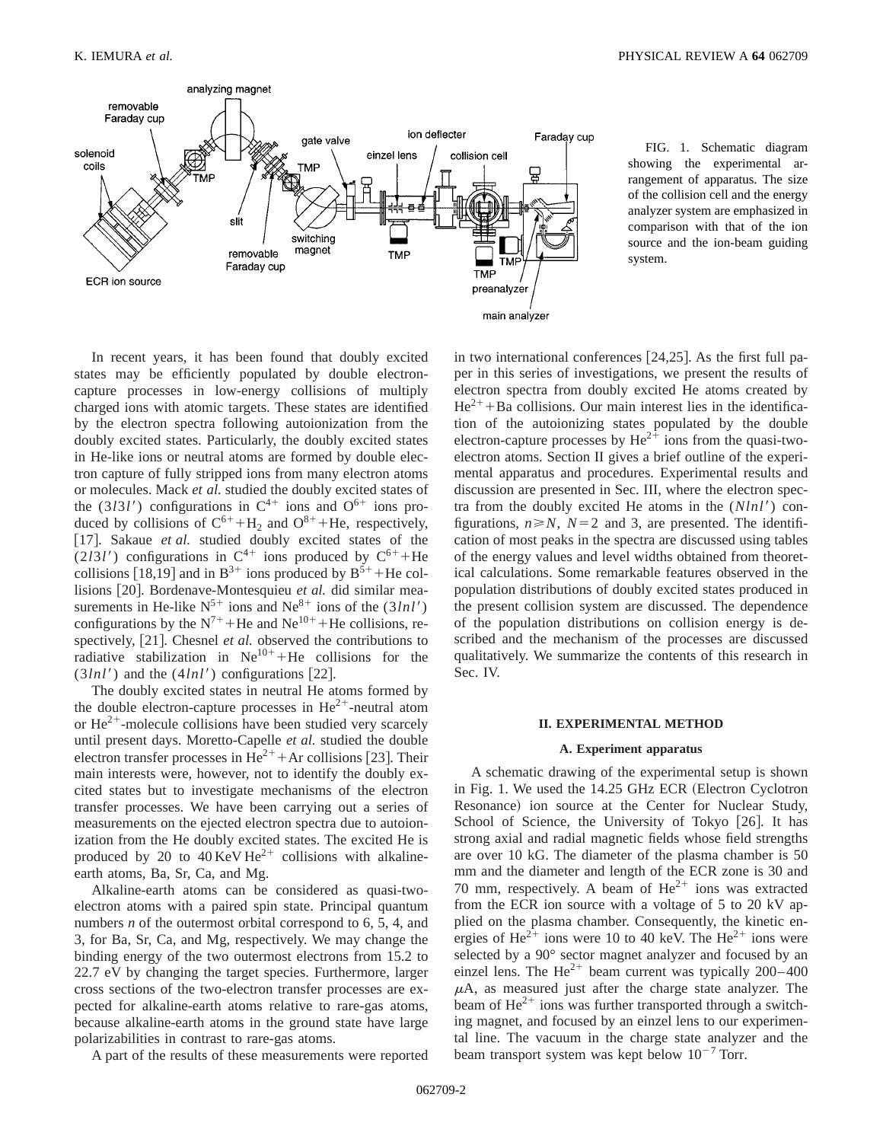

FIG. 1. Schematic diagram showing the experimental arrangement of apparatus. The size of the collision cell and the energy analyzer system are emphasized in comparison with that of the ion source and the ion-beam guiding system.

In recent years, it has been found that doubly excited states may be efficiently populated by double electroncapture processes in low-energy collisions of multiply charged ions with atomic targets. These states are identified by the electron spectra following autoionization from the doubly excited states. Particularly, the doubly excited states in He-like ions or neutral atoms are formed by double electron capture of fully stripped ions from many electron atoms or molecules. Mack *et al.* studied the doubly excited states of the (3*l*3*l'*) configurations in  $C^{4+}$  ions and  $O^{6+}$  ions produced by collisions of  $C^{6+} + H_2$  and  $O^{8+} + He$ , respectively, [17]. Sakaue *et al.* studied doubly excited states of the (2*l*3*l'*) configurations in  $C^{4+}$  ions produced by  $C^{6+}$ +He collisions [18,19] and in B<sup>3+</sup> ions produced by B<sup>5+</sup> +He collisions [20]. Bordenave-Montesquieu *et al.* did similar measurements in He-like  $N^{5+}$  ions and  $Ne^{8+}$  ions of the  $(3lnl')$ configurations by the  $N^{7+}$ +He and Ne<sup>10+</sup> +He collisions, respectively, [21]. Chesnel *et al.* observed the contributions to radiative stabilization in  $Ne^{10+}+He$  collisions for the  $(3lnl')$  and the  $(4lnl')$  configurations [22].

The doubly excited states in neutral He atoms formed by the double electron-capture processes in  $\text{He}^{2+}$ -neutral atom or  $\text{He}^{2+}$ -molecule collisions have been studied very scarcely until present days. Moretto-Capelle *et al.* studied the double electron transfer processes in  $\text{He}^{2+}$  + Ar collisions [23]. Their main interests were, however, not to identify the doubly excited states but to investigate mechanisms of the electron transfer processes. We have been carrying out a series of measurements on the ejected electron spectra due to autoionization from the He doubly excited states. The excited He is produced by 20 to 40 KeV  $He^{2+}$  collisions with alkalineearth atoms, Ba, Sr, Ca, and Mg.

Alkaline-earth atoms can be considered as quasi-twoelectron atoms with a paired spin state. Principal quantum numbers *n* of the outermost orbital correspond to 6, 5, 4, and 3, for Ba, Sr, Ca, and Mg, respectively. We may change the binding energy of the two outermost electrons from 15.2 to 22.7 eV by changing the target species. Furthermore, larger cross sections of the two-electron transfer processes are expected for alkaline-earth atoms relative to rare-gas atoms, because alkaline-earth atoms in the ground state have large polarizabilities in contrast to rare-gas atoms.

A part of the results of these measurements were reported

in two international conferences  $[24,25]$ . As the first full paper in this series of investigations, we present the results of electron spectra from doubly excited He atoms created by  $He^{2+} + Ba$  collisions. Our main interest lies in the identification of the autoionizing states populated by the double electron-capture processes by  $\text{He}^{2+}$  ions from the quasi-twoelectron atoms. Section II gives a brief outline of the experimental apparatus and procedures. Experimental results and discussion are presented in Sec. III, where the electron spectra from the doubly excited He atoms in the  $(Nlnl')$  configurations,  $n \ge N$ ,  $N=2$  and 3, are presented. The identification of most peaks in the spectra are discussed using tables of the energy values and level widths obtained from theoretical calculations. Some remarkable features observed in the population distributions of doubly excited states produced in the present collision system are discussed. The dependence of the population distributions on collision energy is described and the mechanism of the processes are discussed qualitatively. We summarize the contents of this research in Sec. IV.

#### **II. EXPERIMENTAL METHOD**

#### **A. Experiment apparatus**

A schematic drawing of the experimental setup is shown in Fig. 1. We used the 14.25 GHz ECR (Electron Cyclotron Resonance) ion source at the Center for Nuclear Study, School of Science, the University of Tokyo  $[26]$ . It has strong axial and radial magnetic fields whose field strengths are over 10 kG. The diameter of the plasma chamber is 50 mm and the diameter and length of the ECR zone is 30 and 70 mm, respectively. A beam of  $He^{2+}$  ions was extracted from the ECR ion source with a voltage of 5 to 20 kV applied on the plasma chamber. Consequently, the kinetic energies of  $\text{He}^{2+}$  ions were 10 to 40 keV. The  $\text{He}^{2+}$  ions were selected by a 90° sector magnet analyzer and focused by an einzel lens. The  $\text{He}^{2+}$  beam current was typically 200–400  $\mu$ A, as measured just after the charge state analyzer. The beam of  $He^{2+}$  ions was further transported through a switching magnet, and focused by an einzel lens to our experimental line. The vacuum in the charge state analyzer and the beam transport system was kept below  $10^{-7}$  Torr.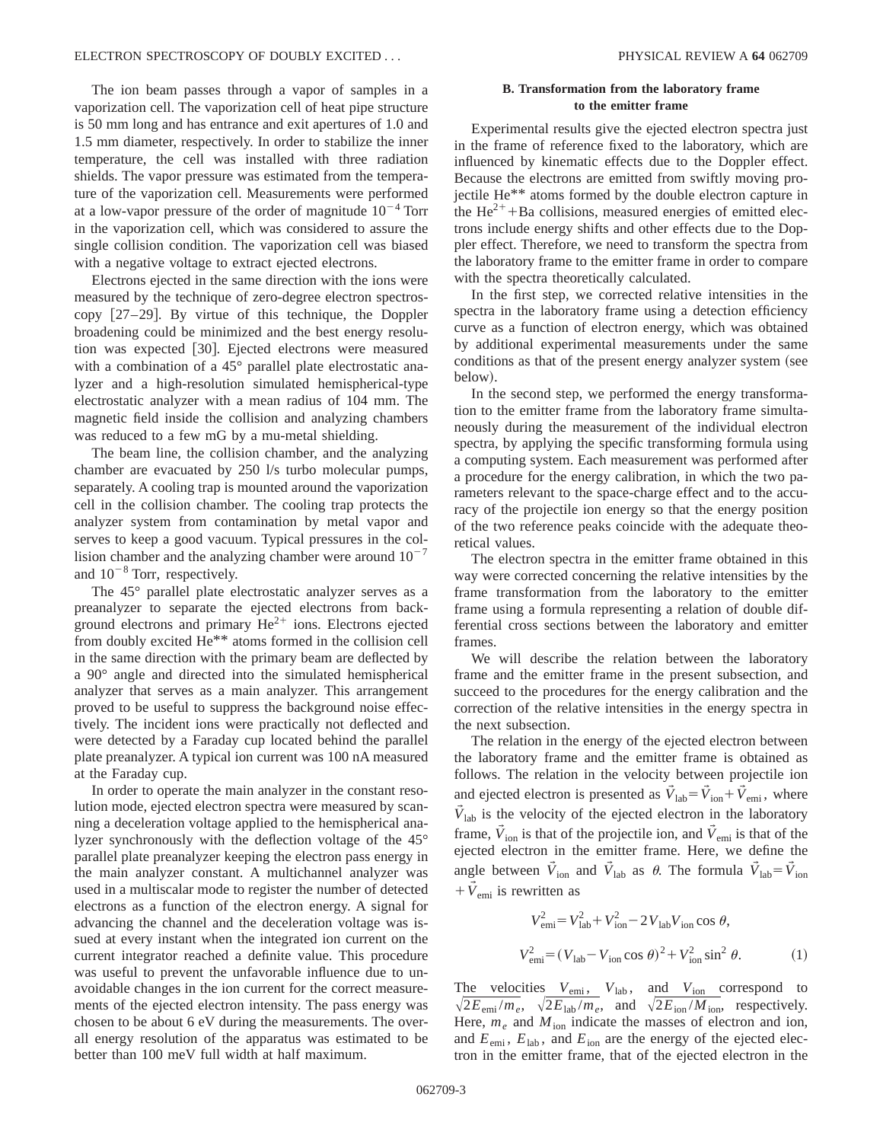The ion beam passes through a vapor of samples in a vaporization cell. The vaporization cell of heat pipe structure is 50 mm long and has entrance and exit apertures of 1.0 and 1.5 mm diameter, respectively. In order to stabilize the inner temperature, the cell was installed with three radiation shields. The vapor pressure was estimated from the temperature of the vaporization cell. Measurements were performed at a low-vapor pressure of the order of magnitude  $10^{-4}$  Torr in the vaporization cell, which was considered to assure the single collision condition. The vaporization cell was biased with a negative voltage to extract ejected electrons.

Electrons ejected in the same direction with the ions were measured by the technique of zero-degree electron spectroscopy  $[27-29]$ . By virtue of this technique, the Doppler broadening could be minimized and the best energy resolution was expected [30]. Ejected electrons were measured with a combination of a 45° parallel plate electrostatic analyzer and a high-resolution simulated hemispherical-type electrostatic analyzer with a mean radius of 104 mm. The magnetic field inside the collision and analyzing chambers was reduced to a few mG by a mu-metal shielding.

The beam line, the collision chamber, and the analyzing chamber are evacuated by 250 l/s turbo molecular pumps, separately. A cooling trap is mounted around the vaporization cell in the collision chamber. The cooling trap protects the analyzer system from contamination by metal vapor and serves to keep a good vacuum. Typical pressures in the collision chamber and the analyzing chamber were around  $10^{-7}$ and  $10^{-8}$  Torr, respectively.

The 45° parallel plate electrostatic analyzer serves as a preanalyzer to separate the ejected electrons from background electrons and primary  $He^{2+}$  ions. Electrons ejected from doubly excited He\*\* atoms formed in the collision cell in the same direction with the primary beam are deflected by a 90° angle and directed into the simulated hemispherical analyzer that serves as a main analyzer. This arrangement proved to be useful to suppress the background noise effectively. The incident ions were practically not deflected and were detected by a Faraday cup located behind the parallel plate preanalyzer. A typical ion current was 100 nA measured at the Faraday cup.

In order to operate the main analyzer in the constant resolution mode, ejected electron spectra were measured by scanning a deceleration voltage applied to the hemispherical analyzer synchronously with the deflection voltage of the 45° parallel plate preanalyzer keeping the electron pass energy in the main analyzer constant. A multichannel analyzer was used in a multiscalar mode to register the number of detected electrons as a function of the electron energy. A signal for advancing the channel and the deceleration voltage was issued at every instant when the integrated ion current on the current integrator reached a definite value. This procedure was useful to prevent the unfavorable influence due to unavoidable changes in the ion current for the correct measurements of the ejected electron intensity. The pass energy was chosen to be about 6 eV during the measurements. The overall energy resolution of the apparatus was estimated to be better than 100 meV full width at half maximum.

## **B. Transformation from the laboratory frame to the emitter frame**

Experimental results give the ejected electron spectra just in the frame of reference fixed to the laboratory, which are influenced by kinematic effects due to the Doppler effect. Because the electrons are emitted from swiftly moving projectile He\*\* atoms formed by the double electron capture in the  $\text{He}^{2+}$ +Ba collisions, measured energies of emitted electrons include energy shifts and other effects due to the Doppler effect. Therefore, we need to transform the spectra from the laboratory frame to the emitter frame in order to compare with the spectra theoretically calculated.

In the first step, we corrected relative intensities in the spectra in the laboratory frame using a detection efficiency curve as a function of electron energy, which was obtained by additional experimental measurements under the same conditions as that of the present energy analyzer system (see below).

In the second step, we performed the energy transformation to the emitter frame from the laboratory frame simultaneously during the measurement of the individual electron spectra, by applying the specific transforming formula using a computing system. Each measurement was performed after a procedure for the energy calibration, in which the two parameters relevant to the space-charge effect and to the accuracy of the projectile ion energy so that the energy position of the two reference peaks coincide with the adequate theoretical values.

The electron spectra in the emitter frame obtained in this way were corrected concerning the relative intensities by the frame transformation from the laboratory to the emitter frame using a formula representing a relation of double differential cross sections between the laboratory and emitter frames.

We will describe the relation between the laboratory frame and the emitter frame in the present subsection, and succeed to the procedures for the energy calibration and the correction of the relative intensities in the energy spectra in the next subsection.

The relation in the energy of the ejected electron between the laboratory frame and the emitter frame is obtained as follows. The relation in the velocity between projectile ion and ejected electron is presented as  $\vec{V}_{\text{lab}} = \vec{V}_{\text{ion}} + \vec{V}_{\text{emi}}$ , where  $\vec{V}_{\text{lab}}$  is the velocity of the ejected electron in the laboratory frame,  $\vec{V}_{\text{ion}}$  is that of the projectile ion, and  $\vec{V}_{\text{emi}}$  is that of the ejected electron in the emitter frame. Here, we define the angle between  $\tilde{V}_{\text{ion}}$  and  $\tilde{V}_{\text{lab}}$  as  $\theta$ . The formula  $\tilde{V}_{\text{lab}} = \tilde{V}_{\text{ion}}$  $+\vec{V}_{\text{emi}}$  is rewritten as

$$
V_{\text{emi}}^2 = V_{\text{lab}}^2 + V_{\text{ion}}^2 - 2V_{\text{lab}}V_{\text{ion}}\cos\theta,
$$
  

$$
V_{\text{emi}}^2 = (V_{\text{lab}} - V_{\text{ion}}\cos\theta)^2 + V_{\text{ion}}^2\sin^2\theta.
$$
 (1)

The velocities  $V_{\text{emi}}$ ,  $V_{\text{lab}}$ , and  $V_{\text{ion}}$  correspond to  $\sqrt{2E_{\text{emi}}/m_e}$ ,  $\sqrt{2E_{\text{lab}}/m_e}$ , and  $\sqrt{2E_{\text{ion}}/M_{\text{ion}}}$ , respectively. Here,  $m_e$  and  $M_{\text{ion}}$  indicate the masses of electron and ion, and  $E_{\text{emi}}$ ,  $E_{\text{lab}}$ , and  $E_{\text{ion}}$  are the energy of the ejected electron in the emitter frame, that of the ejected electron in the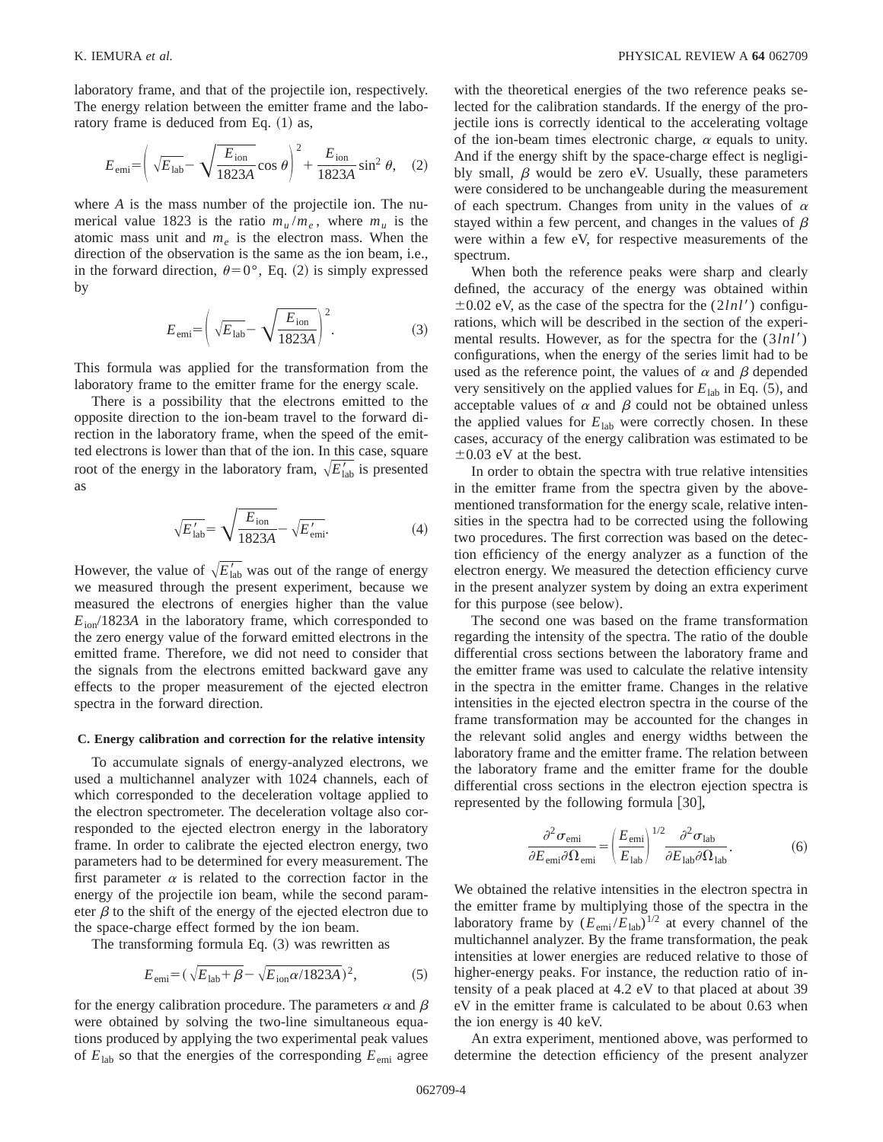laboratory frame, and that of the projectile ion, respectively. The energy relation between the emitter frame and the laboratory frame is deduced from Eq.  $(1)$  as,

$$
E_{\text{emi}} = \left(\sqrt{E_{\text{lab}}} - \sqrt{\frac{E_{\text{ion}}}{1823A}}\cos\theta\right)^2 + \frac{E_{\text{ion}}}{1823A}\sin^2\theta, \quad (2)
$$

where *A* is the mass number of the projectile ion. The numerical value 1823 is the ratio  $m_u/m_e$ , where  $m_u$  is the atomic mass unit and  $m_e$  is the electron mass. When the direction of the observation is the same as the ion beam, i.e., in the forward direction,  $\theta = 0^{\circ}$ , Eq. (2) is simply expressed by

$$
E_{\text{emi}} = \left(\sqrt{E_{\text{lab}}} - \sqrt{\frac{E_{\text{ion}}}{1823A}}\right)^2.
$$
 (3)

This formula was applied for the transformation from the laboratory frame to the emitter frame for the energy scale.

There is a possibility that the electrons emitted to the opposite direction to the ion-beam travel to the forward direction in the laboratory frame, when the speed of the emitted electrons is lower than that of the ion. In this case, square root of the energy in the laboratory fram,  $\sqrt{E_{lab}}$  is presented as

$$
\sqrt{E'_{\text{lab}}} = \sqrt{\frac{E_{\text{ion}}}{1823A}} - \sqrt{E'_{\text{emi}}}.
$$
 (4)

However, the value of  $\sqrt{E_{\text{lab}}'}$  was out of the range of energy we measured through the present experiment, because we measured the electrons of energies higher than the value  $E_{\text{ion}}/1823A$  in the laboratory frame, which corresponded to the zero energy value of the forward emitted electrons in the emitted frame. Therefore, we did not need to consider that the signals from the electrons emitted backward gave any effects to the proper measurement of the ejected electron spectra in the forward direction.

## **C. Energy calibration and correction for the relative intensity**

To accumulate signals of energy-analyzed electrons, we used a multichannel analyzer with 1024 channels, each of which corresponded to the deceleration voltage applied to the electron spectrometer. The deceleration voltage also corresponded to the ejected electron energy in the laboratory frame. In order to calibrate the ejected electron energy, two parameters had to be determined for every measurement. The first parameter  $\alpha$  is related to the correction factor in the energy of the projectile ion beam, while the second parameter  $\beta$  to the shift of the energy of the ejected electron due to the space-charge effect formed by the ion beam.

The transforming formula Eq.  $(3)$  was rewritten as

$$
E_{\text{emi}} = (\sqrt{E_{\text{lab}} + \beta} - \sqrt{E_{\text{ion}}\alpha/1823A})^2, \tag{5}
$$

for the energy calibration procedure. The parameters  $\alpha$  and  $\beta$ were obtained by solving the two-line simultaneous equations produced by applying the two experimental peak values of  $E_{lab}$  so that the energies of the corresponding  $E_{emi}$  agree with the theoretical energies of the two reference peaks selected for the calibration standards. If the energy of the projectile ions is correctly identical to the accelerating voltage of the ion-beam times electronic charge,  $\alpha$  equals to unity. And if the energy shift by the space-charge effect is negligibly small,  $\beta$  would be zero eV. Usually, these parameters were considered to be unchangeable during the measurement of each spectrum. Changes from unity in the values of  $\alpha$ stayed within a few percent, and changes in the values of  $\beta$ were within a few eV, for respective measurements of the spectrum.

When both the reference peaks were sharp and clearly defined, the accuracy of the energy was obtained within  $\pm 0.02$  eV, as the case of the spectra for the (2*lnl'*) configurations, which will be described in the section of the experimental results. However, as for the spectra for the  $(3ln l')$ configurations, when the energy of the series limit had to be used as the reference point, the values of  $\alpha$  and  $\beta$  depended very sensitively on the applied values for  $E_{lab}$  in Eq.  $(5)$ , and acceptable values of  $\alpha$  and  $\beta$  could not be obtained unless the applied values for  $E_{lab}$  were correctly chosen. In these cases, accuracy of the energy calibration was estimated to be  $\pm 0.03$  eV at the best.

In order to obtain the spectra with true relative intensities in the emitter frame from the spectra given by the abovementioned transformation for the energy scale, relative intensities in the spectra had to be corrected using the following two procedures. The first correction was based on the detection efficiency of the energy analyzer as a function of the electron energy. We measured the detection efficiency curve in the present analyzer system by doing an extra experiment for this purpose (see below).

The second one was based on the frame transformation regarding the intensity of the spectra. The ratio of the double differential cross sections between the laboratory frame and the emitter frame was used to calculate the relative intensity in the spectra in the emitter frame. Changes in the relative intensities in the ejected electron spectra in the course of the frame transformation may be accounted for the changes in the relevant solid angles and energy widths between the laboratory frame and the emitter frame. The relation between the laboratory frame and the emitter frame for the double differential cross sections in the electron ejection spectra is represented by the following formula  $[30]$ ,

$$
\frac{\partial^2 \sigma_{\text{emi}}}{\partial E_{\text{emi}} \partial \Omega_{\text{emi}}} = \left(\frac{E_{\text{emi}}}{E_{\text{lab}}}\right)^{1/2} \frac{\partial^2 \sigma_{\text{lab}}}{\partial E_{\text{lab}} \partial \Omega_{\text{lab}}}.
$$
 (6)

We obtained the relative intensities in the electron spectra in the emitter frame by multiplying those of the spectra in the laboratory frame by  $(E_{\text{emi}}/E_{\text{lab}})^{1/2}$  at every channel of the multichannel analyzer. By the frame transformation, the peak intensities at lower energies are reduced relative to those of higher-energy peaks. For instance, the reduction ratio of intensity of a peak placed at 4.2 eV to that placed at about 39 eV in the emitter frame is calculated to be about 0.63 when the ion energy is 40 keV.

An extra experiment, mentioned above, was performed to determine the detection efficiency of the present analyzer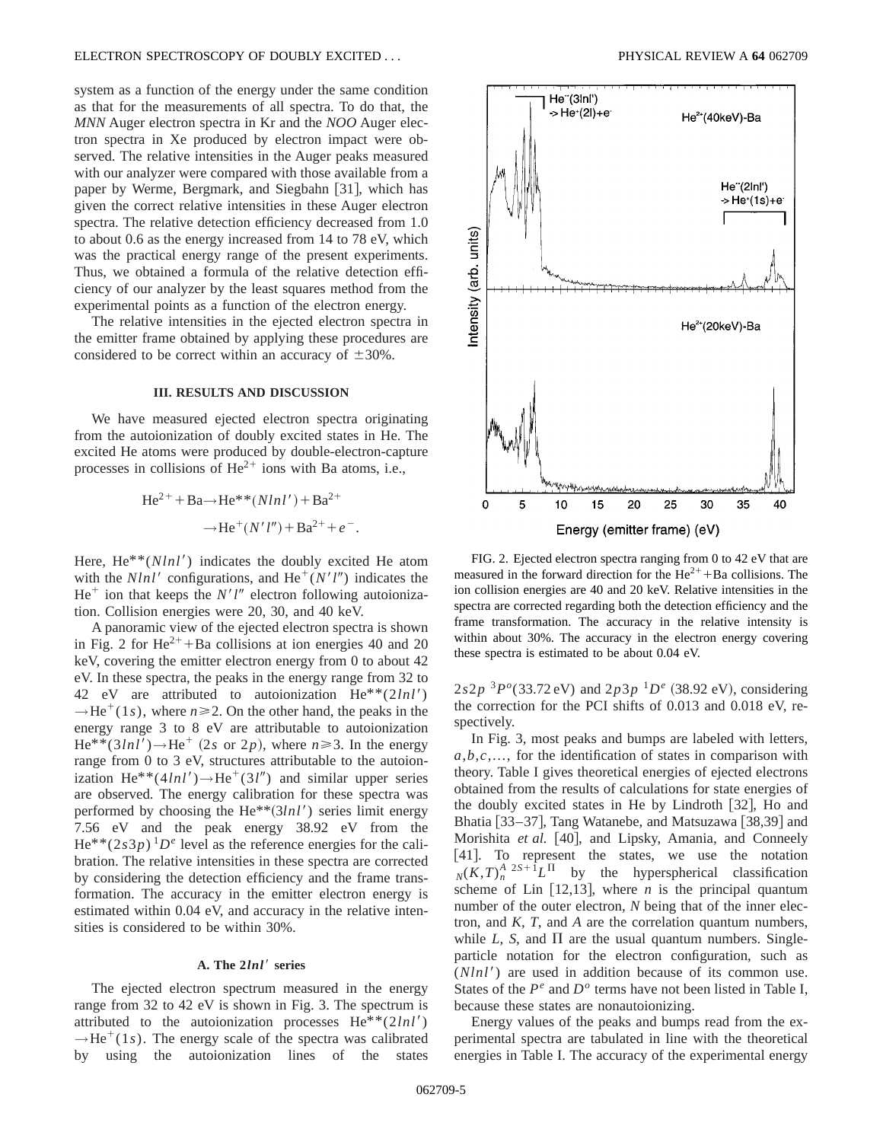system as a function of the energy under the same condition as that for the measurements of all spectra. To do that, the *MNN* Auger electron spectra in Kr and the *NOO* Auger electron spectra in Xe produced by electron impact were observed. The relative intensities in the Auger peaks measured with our analyzer were compared with those available from a paper by Werme, Bergmark, and Siegbahn [31], which has given the correct relative intensities in these Auger electron spectra. The relative detection efficiency decreased from 1.0 to about 0.6 as the energy increased from 14 to 78 eV, which was the practical energy range of the present experiments. Thus, we obtained a formula of the relative detection efficiency of our analyzer by the least squares method from the experimental points as a function of the electron energy.

The relative intensities in the ejected electron spectra in the emitter frame obtained by applying these procedures are considered to be correct within an accuracy of  $\pm 30\%$ .

#### **III. RESULTS AND DISCUSSION**

We have measured ejected electron spectra originating from the autoionization of doubly excited states in He. The excited He atoms were produced by double-electron-capture processes in collisions of  $He^{2+}$  ions with Ba atoms, i.e.,

He<sup>2+</sup> + Ba
$$
\rightarrow
$$
He<sup>\*\*</sup>(Nlnl') + Ba<sup>2+</sup>  
 $\rightarrow$ He<sup>+</sup>(N'l'') + Ba<sup>2+</sup> + e<sup>-</sup>.

Here,  $He^{**}(Nlnl')$  indicates the doubly excited He atom with the  $Nlnl'$  configurations, and  $He^+(N'l'')$  indicates the  $He<sup>+</sup>$  ion that keeps the *N'l''* electron following autoionization. Collision energies were 20, 30, and 40 keV.

A panoramic view of the ejected electron spectra is shown in Fig. 2 for  $\text{He}^{2+}$ +Ba collisions at ion energies 40 and 20 keV, covering the emitter electron energy from 0 to about 42 eV. In these spectra, the peaks in the energy range from 32 to 42 eV are attributed to autoionization  $He^{**}(2lnl')$  $\rightarrow$ He<sup>+</sup>(1*s*), where *n*  $\geq$  2. On the other hand, the peaks in the energy range 3 to 8 eV are attributable to autoionization  $He^{**}(3lnl') \rightarrow He^+$  (2*s* or 2*p*), where  $n \ge 3$ . In the energy range from 0 to 3 eV, structures attributable to the autoionization He<sup>\*\*</sup>(4*lnl'*) $\rightarrow$ He<sup>+</sup>(3*l''*) and similar upper series are observed. The energy calibration for these spectra was performed by choosing the  $He^{**}(3lnl')$  series limit energy 7.56 eV and the peak energy 38.92 eV from the  $He^{**}(2s3p)^{1}D^{e}$  level as the reference energies for the calibration. The relative intensities in these spectra are corrected by considering the detection efficiency and the frame transformation. The accuracy in the emitter electron energy is estimated within 0.04 eV, and accuracy in the relative intensities is considered to be within 30%.

#### A. The  $2lnl'$  series

The ejected electron spectrum measured in the energy range from 32 to 42 eV is shown in Fig. 3. The spectrum is attributed to the autoionization processes  $He^{**}(2lnl')$  $\rightarrow$ He<sup>+</sup>(1*s*). The energy scale of the spectra was calibrated by using the autoionization lines of the states



FIG. 2. Ejected electron spectra ranging from 0 to 42 eV that are measured in the forward direction for the  $\text{He}^{2+} + \text{Ba}$  collisions. The ion collision energies are 40 and 20 keV. Relative intensities in the spectra are corrected regarding both the detection efficiency and the frame transformation. The accuracy in the relative intensity is within about 30%. The accuracy in the electron energy covering these spectra is estimated to be about 0.04 eV.

 $2s2p$  <sup>3</sup> $P^o(33.72 \text{ eV})$  and  $2p3p$  <sup>1</sup> $D^e$  (38.92 eV), considering the correction for the PCI shifts of 0.013 and 0.018 eV, respectively.

In Fig. 3, most peaks and bumps are labeled with letters, *a*,*b*,*c*,..., for the identification of states in comparison with theory. Table I gives theoretical energies of ejected electrons obtained from the results of calculations for state energies of the doubly excited states in He by Lindroth  $[32]$ , Ho and Bhatia  $\left[33-37\right]$ , Tang Watanebe, and Matsuzawa  $\left[38,39\right]$  and Morishita et al. [40], and Lipsky, Amania, and Conneely [41]. To represent the states, we use the notation  $N(K,T)$ <sup>A</sup>  $2S+I$ *L*<sup>T</sup> by the hyperspherical classification scheme of Lin  $[12,13]$ , where *n* is the principal quantum number of the outer electron, *N* being that of the inner electron, and *K*, *T*, and *A* are the correlation quantum numbers, while *L*, *S*, and  $\Pi$  are the usual quantum numbers. Singleparticle notation for the electron configuration, such as  $(Nln l')$  are used in addition because of its common use. States of the  $P^e$  and  $D^o$  terms have not been listed in Table I, because these states are nonautoionizing.

Energy values of the peaks and bumps read from the experimental spectra are tabulated in line with the theoretical energies in Table I. The accuracy of the experimental energy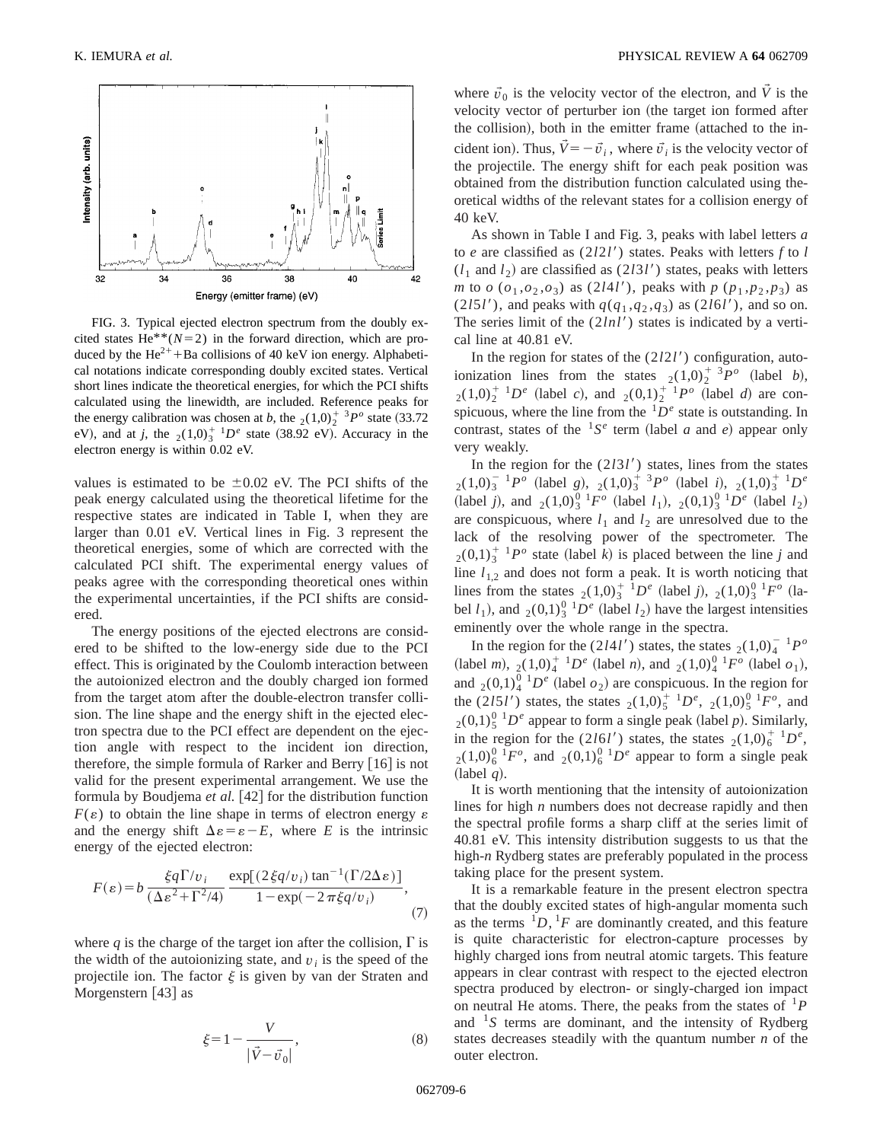

FIG. 3. Typical ejected electron spectrum from the doubly excited states He<sup>\*\*</sup>( $N=2$ ) in the forward direction, which are produced by the  $\text{He}^{2+}$ +Ba collisions of 40 keV ion energy. Alphabetical notations indicate corresponding doubly excited states. Vertical short lines indicate the theoretical energies, for which the PCI shifts calculated using the linewidth, are included. Reference peaks for the energy calibration was chosen at *b*, the  $_2(1,0)_2^{\dagger}$  <sup>3</sup>*P*<sup>*o*</sup> state (33.72) eV), and at *j*, the  $_2(1,0)_3^{\scriptscriptstyle +1}D^e$  state (38.92 eV). Accuracy in the electron energy is within 0.02 eV.

values is estimated to be  $\pm 0.02$  eV. The PCI shifts of the peak energy calculated using the theoretical lifetime for the respective states are indicated in Table I, when they are larger than 0.01 eV. Vertical lines in Fig. 3 represent the theoretical energies, some of which are corrected with the calculated PCI shift. The experimental energy values of peaks agree with the corresponding theoretical ones within the experimental uncertainties, if the PCI shifts are considered.

The energy positions of the ejected electrons are considered to be shifted to the low-energy side due to the PCI effect. This is originated by the Coulomb interaction between the autoionized electron and the doubly charged ion formed from the target atom after the double-electron transfer collision. The line shape and the energy shift in the ejected electron spectra due to the PCI effect are dependent on the ejection angle with respect to the incident ion direction, therefore, the simple formula of Rarker and Berry  $|16|$  is not valid for the present experimental arrangement. We use the formula by Boudjema *et al.* [42] for the distribution function  $F(\varepsilon)$  to obtain the line shape in terms of electron energy  $\varepsilon$ and the energy shift  $\Delta \varepsilon = \varepsilon - E$ , where *E* is the intrinsic energy of the ejected electron:

$$
F(\varepsilon) = b \frac{\xi q \Gamma/v_i}{(\Delta \varepsilon^2 + \Gamma^2/4)} \frac{\exp[(2\xi q/v_i)\tan^{-1}(\Gamma/2\Delta \varepsilon)]}{1 - \exp(-2\pi \xi q/v_i)},
$$
(7)

where *q* is the charge of the target ion after the collision,  $\Gamma$  is the width of the autoionizing state, and  $v_i$  is the speed of the projectile ion. The factor  $\xi$  is given by van der Straten and Morgenstern  $[43]$  as

$$
\xi = 1 - \frac{V}{|\vec{V} - \vec{v}_0|},\tag{8}
$$

where  $\vec{v}_0$  is the velocity vector of the electron, and  $\vec{V}$  is the velocity vector of perturber ion (the target ion formed after the collision), both in the emitter frame (attached to the incident ion). Thus,  $\vec{V} = -\vec{v}_i$ , where  $\vec{v}_i$  is the velocity vector of the projectile. The energy shift for each peak position was obtained from the distribution function calculated using theoretical widths of the relevant states for a collision energy of 40 keV.

As shown in Table I and Fig. 3, peaks with label letters *a* to *e* are classified as  $(2l2l')$  states. Peaks with letters *f* to *l*  $(l_1 \text{ and } l_2)$  are classified as  $(2l3l')$  states, peaks with letters *m* to *o*  $(o_1, o_2, o_3)$  as  $(2141')$ , peaks with *p*  $(p_1, p_2, p_3)$  as (2*l*5*l'*), and peaks with  $q(q_1, q_2, q_3)$  as (2*l*6*l'*), and so on. The series limit of the  $(2ln l')$  states is indicated by a vertical line at 40.81 eV.

In the region for states of the  $(2l2l')$  configuration, autoionization lines from the states  $_2(1,0)_2^{\dagger}$  <sup>3</sup> $P$ <sup>*o*</sup> (label *b*),  $_{2}(1,0)_{2}^{+1}D^{e}$  (label *c*), and  $_{2}(0,1)_{2}^{+1}P^{o}$  (label *d*) are conspicuous, where the line from the  ${}^{1}D^e$  state is outstanding. In contrast, states of the  ${}^{1}S^{e}$  term (label *a* and *e*) appear only very weakly.

In the region for the  $(2l3l')$  states, lines from the states  $_{2}(1,0)_{3}^{-1}P^{\circ}$  (label *g*),  $_{2}(1,0)_{3}^{+3}P^{\circ}$  (label *i*),  $_{2}(1,0)_{3}^{+1}P^{\circ}$ (label *j*), and  $_{2}(1,0)_{3}^{0} {}^{1}F^{\circ}$  (label *l*<sub>1</sub>),  $_{2}(0,1)_{3}^{0} {}^{1}D^{\circ}$  (label *l*<sub>2</sub>) are conspicuous, where  $l_1$  and  $l_2$  are unresolved due to the lack of the resolving power of the spectrometer. The  $2(0,1)_3^{\dagger}$  <sup>1</sup> $P^{\circ}$  state (label *k*) is placed between the line *j* and line  $l_{1,2}$  and does not form a peak. It is worth noticing that lines from the states  $_2(1,0)^{\frac{1}{3}-1}D^e$  (label *j*),  $_2(1,0)^{\frac{0}{3}-1}F^o$  (label  $l_1$ ), and  $_2(0,1)_3^{0-1}D^e$  (label  $l_2$ ) have the largest intensities eminently over the whole range in the spectra.

In the region for the (2*l*4*l'*) states, the states  $_2(1,0)_4^{-1}P^o$  $(label \ m)$ ,  $_2(1,0)_4^+{}^{1}D^e$  (label *n*), and  $_2(1,0)_4^0{}^{1}F^o$  (label  $o_1$ ), and  $_2(0,1)_4^{0-1}D^e$  (label  $o_2$ ) are conspicuous. In the region for the (2*l*5*l'*) states, the states  $_2(1,0)_{5}^{+1}D^e$ ,  $_2(1,0)_{5}^{0}{}^{1}F^o$ , and  $_{2}(0,1)_{5}^{0}$  <sup>1</sup> $D^{e}$  appear to form a single peak (label *p*). Similarly, in the region for the  $(2161')$  states, the states  $_2(1,0)_6^{\dagger}$  <sup>1</sup> $D^e$ ,  $_{2}(1,0)_{6}^{0}{}^{1}F^{\circ}$ , and  $_{2}(0,1)_{6}^{0}{}^{1}D^{\circ}$  appear to form a single peak  $(label q).$ 

It is worth mentioning that the intensity of autoionization lines for high *n* numbers does not decrease rapidly and then the spectral profile forms a sharp cliff at the series limit of 40.81 eV. This intensity distribution suggests to us that the high-*n* Rydberg states are preferably populated in the process taking place for the present system.

It is a remarkable feature in the present electron spectra that the doubly excited states of high-angular momenta such as the terms  ${}^{1}D, {}^{1}F$  are dominantly created, and this feature is quite characteristic for electron-capture processes by highly charged ions from neutral atomic targets. This feature appears in clear contrast with respect to the ejected electron spectra produced by electron- or singly-charged ion impact on neutral He atoms. There, the peaks from the states of  ${}^{1}P$ and  $1s$  terms are dominant, and the intensity of Rydberg states decreases steadily with the quantum number *n* of the outer electron.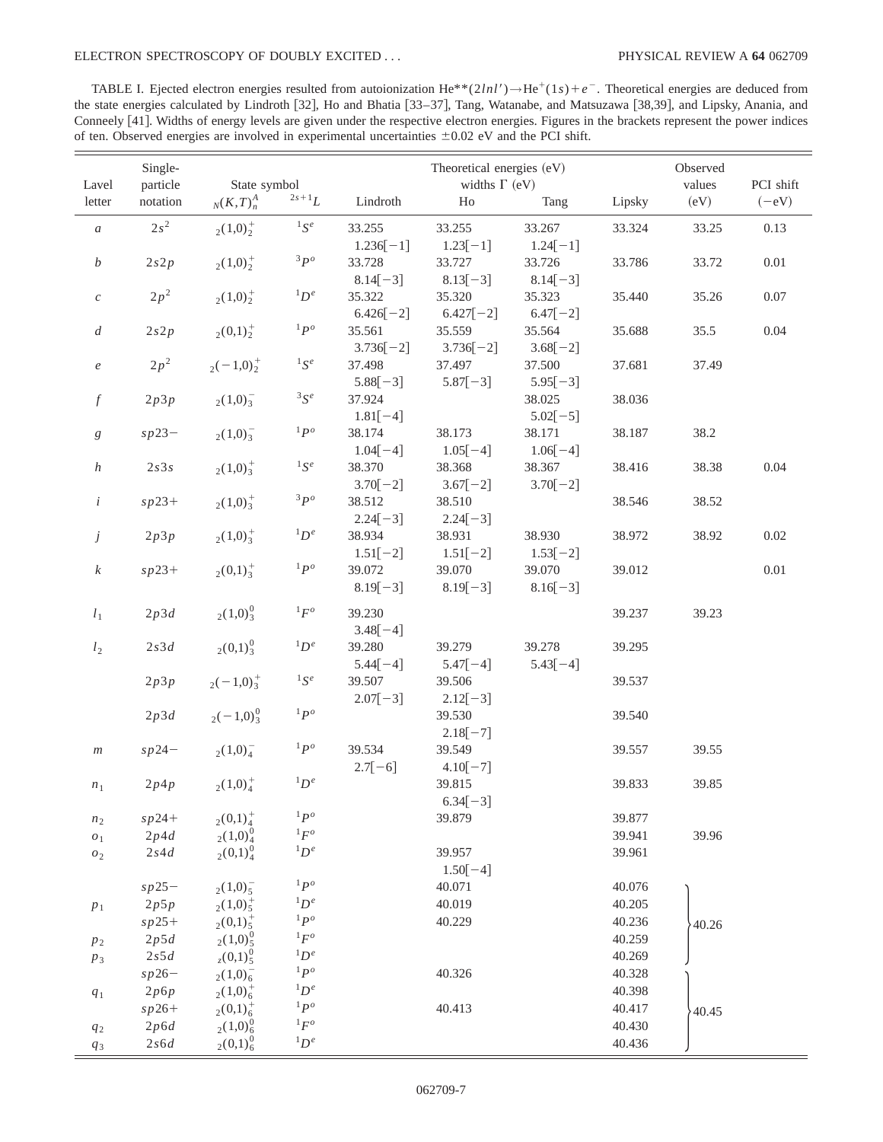TABLE I. Ejected electron energies resulted from autoionization He<sup>\*\*</sup>(2*lnl'*) $\rightarrow$ He<sup>+</sup>(1*s*)+e<sup>-</sup>. Theoretical energies are deduced from the state energies calculated by Lindroth [32], Ho and Bhatia [33-37], Tang, Watanabe, and Matsuzawa [38,39], and Lipsky, Anania, and Conneely [41]. Widths of energy levels are given under the respective electron energies. Figures in the brackets represent the power indices of ten. Observed energies are involved in experimental uncertainties  $\pm 0.02$  eV and the PCI shift.

|                    | Single-  |                                        |               |                      | Theoretical energies (eV) |            |        | Observed |           |
|--------------------|----------|----------------------------------------|---------------|----------------------|---------------------------|------------|--------|----------|-----------|
| Lavel              | particle | State symbol                           |               | widths $\Gamma$ (eV) |                           |            |        | values   | PCI shift |
| letter             | notation | $_N(K,T)_n^A$                          | $2s+1L$       | Lindroth             | H <sub>0</sub>            | Tang       | Lipsky | (eV)     | $(-eV)$   |
| $\boldsymbol{a}$   | $2s^2$   | $_{2}(1,0)^{+}_{2}$                    | ${}^{1}S^{e}$ | 33.255               | 33.255                    | 33.267     | 33.324 | 33.25    | 0.13      |
|                    |          |                                        |               | $1.236[-1]$          | $1.23[-1]$                | $1.24[-1]$ |        |          |           |
| b                  | 2s2p     | $_{2}(1,0)^{+}_{2}$                    | $3p^o$        | 33.728               | 33.727                    | 33.726     | 33.786 | 33.72    | $0.01\,$  |
|                    |          |                                        |               | $8.14[-3]$           | $8.13[-3]$                | $8.14[-3]$ |        |          |           |
| $\mathcal C$       | $2p^2$   | $_{2}(1,0)^{+}_{2}$                    | ${}^1D^e$     | 35.322               | 35.320                    | 35.323     | 35.440 | 35.26    | $0.07\,$  |
|                    |          |                                        |               | $6.426[-2]$          | $6.427[-2]$               | $6.47[-2]$ |        |          |           |
| $\boldsymbol{d}$   | 2s2p     | $_{2}(0,1)^{+}_{2}$                    | ${}^{1}P^{o}$ | 35.561               | 35.559                    | 35.564     | 35.688 | 35.5     | 0.04      |
|                    |          |                                        |               | $3.736[-2]$          | $3.736[-2]$               | $3.68[-2]$ |        |          |           |
| $\boldsymbol{e}$   | $2p^2$   | $2(-1,0)^{+}_{2}$                      | $^1S^e$       | 37.498               | 37.497                    | 37.500     | 37.681 | 37.49    |           |
|                    |          |                                        |               | $5.88[-3]$           | $5.87[-3]$                | $5.95[-3]$ |        |          |           |
| $\boldsymbol{f}$   | 2p3p     | $_{2}(1,0)^{-}_{3}$                    | $^3S^e$       | 37.924               |                           | 38.025     | 38.036 |          |           |
|                    |          |                                        |               | $1.81[-4]$           |                           | $5.02[-5]$ |        |          |           |
| g                  | $sp23-$  | $_{2}(1,0)^{-}_{3}$                    | ${}^{1}P^{o}$ | 38.174               | 38.173                    | 38.171     | 38.187 | 38.2     |           |
|                    |          |                                        |               | $1.04[-4]$           | $1.05[-4]$                | $1.06[-4]$ |        |          |           |
| $\boldsymbol{h}$   | $2s3s$   | $_{2}(1,0)^{+}_{3}$                    | ${}^{1}S^{e}$ | 38.370               | 38.368                    | 38.367     | 38.416 | 38.38    | 0.04      |
|                    |          |                                        |               | $3.70[-2]$           | $3.67[-2]$                | $3.70[-2]$ |        |          |           |
| $\dot{i}$          | $sp23+$  | $_{2}(1,0)^{+}_{3}$                    | $3p^o$        | 38.512               | 38.510                    |            | 38.546 | 38.52    |           |
|                    |          |                                        |               | $2.24[-3]$           | $2.24[-3]$                |            |        |          |           |
| $\dot{J}$          | 2p3p     | $_{2}(1,0)^{+}_{3}$                    | $^1D^e$       | 38.934               | 38.931                    | 38.930     | 38.972 | 38.92    | $0.02\,$  |
|                    |          |                                        |               | $1.51[-2]$           | $1.51[-2]$                | $1.53[-2]$ |        |          |           |
| $\boldsymbol{k}$   | $sp23+$  | $2(0,1)^{+}$                           | $1P^o$        | 39.072               | 39.070                    | 39.070     | 39.012 |          | $0.01\,$  |
|                    |          |                                        |               | $8.19[-3]$           | $8.19[-3]$                | $8.16[-3]$ |        |          |           |
| $l_1$              | 2p3d     | $_{2}(1,0)^{0}_{3}$                    | ${}^1F^o$     | 39.230               |                           |            | 39.237 | 39.23    |           |
|                    |          |                                        |               | $3.48[-4]$           |                           |            |        |          |           |
| l <sub>2</sub>     | $2s3d$   | $_{2}(0,1)^{0}_{3}$                    | $^1D^e$       | 39.280               | 39.279                    | 39.278     | 39.295 |          |           |
|                    |          |                                        |               | $5.44[-4]$           | $5.47[-4]$                | $5.43[-4]$ |        |          |           |
|                    | 2p3p     | $2(-1,0)^{+}_{3}$                      | ${}^{1}S^{e}$ | 39.507               | 39.506                    |            | 39.537 |          |           |
|                    |          |                                        |               | $2.07[-3]$           | $2.12[-3]$                |            |        |          |           |
|                    | 2p3d     | $2(-1,0)^{0}_{3}$                      | $1p^o$        |                      | 39.530                    |            | 39.540 |          |           |
|                    |          |                                        |               |                      | $2.18[-7]$                |            |        |          |           |
| m                  | $sp24-$  | $_{2}(1,0)_{4}^{-}$                    | $1p^o$        | 39.534               | 39.549                    |            | 39.557 | 39.55    |           |
|                    |          |                                        |               | $2.7[-6]$            | $4.10[-7]$                |            |        |          |           |
| $n_1$              | 2p4p     | $_{2}(1,0)^{+}_{4}$                    | ${}^1D^e$     |                      | 39.815                    |            | 39.833 | 39.85    |           |
|                    |          |                                        |               |                      | $6.34[-3]$                |            |        |          |           |
| n <sub>2</sub>     | $sp24+$  | $_{2}(0,1)_{4}^{+}$                    | $1p^o$        |                      | 39.879                    |            | 39.877 |          |           |
| $\boldsymbol{o}_1$ | 2p4d     | $_{2}(1,0)_{4}^{0}$                    | ${}^1F^o$     |                      |                           |            | 39.941 | 39.96    |           |
| ${\cal O}_2$       | $2s4d$   | $_{2}(0,1)_{4}^{0}$                    | ${}^1D^e$     |                      | 39.957                    |            | 39.961 |          |           |
|                    |          |                                        |               |                      | $1.50[-4]$                |            |        |          |           |
|                    | $sp25-$  | $_{2}(1,0)_{5}^{-}$                    | $1P^o$        |                      | 40.071                    |            | 40.076 |          |           |
| $p_1$              | 2p5p     | $_{2}(1,0)_{5}^{+}$                    | ${}^1D^e$     |                      | 40.019                    |            | 40.205 |          |           |
|                    | $sp25+$  | $_{2}(0,1)_{5}^{+}$                    | $1P^o$        |                      | 40.229                    |            | 40.236 | 40.26    |           |
| $p_2$              | 2p5d     | $_{2}(1,0)_{5}^{0}$                    | ${}^1F^o$     |                      |                           |            | 40.259 |          |           |
| $p_3$              | $2s5d$   | $_{z}$ (0,1) <sup>0</sup> <sub>5</sub> | ${}^1D^e$     |                      |                           |            | 40.269 |          |           |
|                    | $sp26-$  | $_{2}(1,0)_{6}^{-}$                    | ${}^{1}P^{o}$ |                      | 40.326                    |            | 40.328 |          |           |
| $\mathfrak{q}_1$   | 2p6p     | $_{2}(1,0)_{6}^{+}$                    | ${}^1D^e$     |                      |                           |            | 40.398 |          |           |
|                    | $sp26+$  | $_{2}(0,1)_{6}^{+}$                    | $1P^o$        |                      | 40.413                    |            | 40.417 | 40.45    |           |
| $\mathfrak{q}_2$   | 2p6d     | $_{2}(1,0)_{6}^{0}$                    | ${}^1F^o$     |                      |                           |            | 40.430 |          |           |
| $q_{\mathrm{3}}$   | 2s6d     | $_{2}(0,1)_{6}^{0}$                    | ${}^1D^e$     |                      |                           |            | 40.436 |          |           |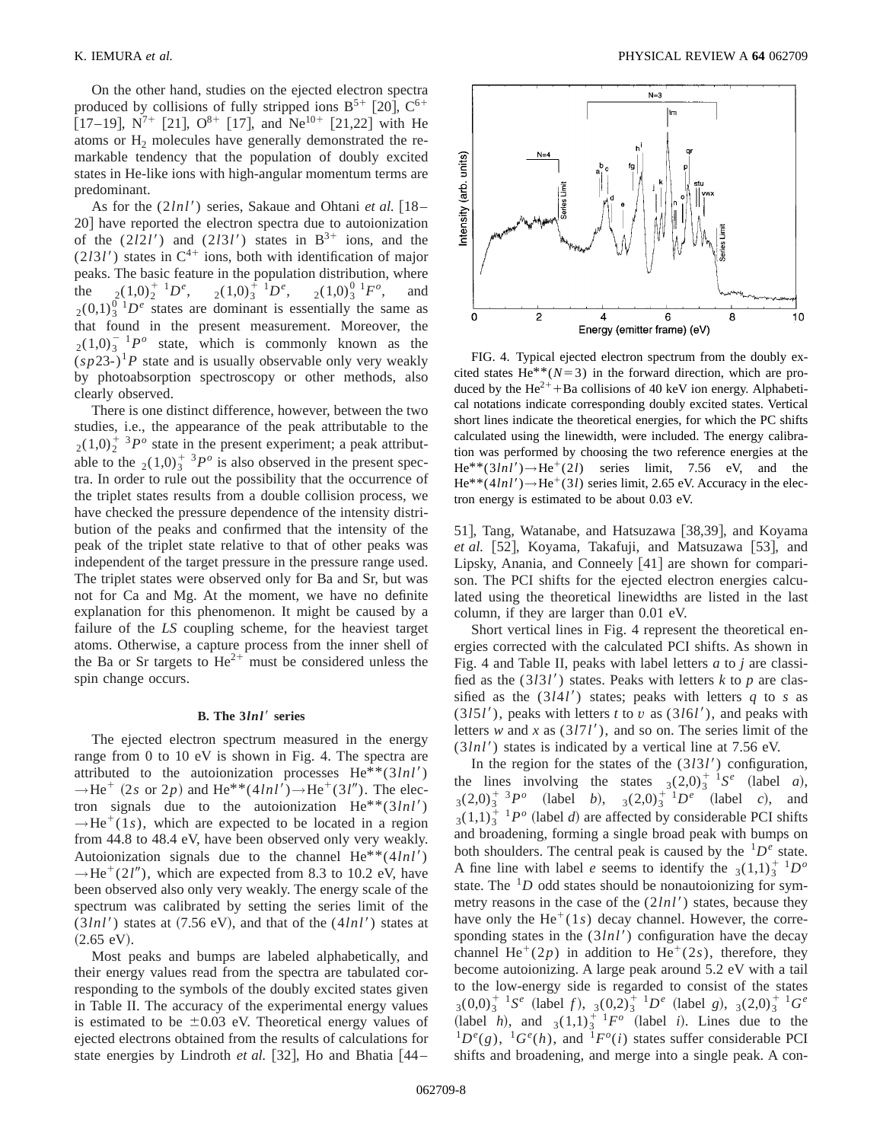On the other hand, studies on the ejected electron spectra produced by collisions of fully stripped ions  $B^{5+}$  [20],  $C^{6+}$ [17–19],  $N^{7+}$  [21],  $O^{8+}$  [17], and Ne<sup>10+</sup> [21,22] with He atoms or  $H_2$  molecules have generally demonstrated the remarkable tendency that the population of doubly excited states in He-like ions with high-angular momentum terms are predominant.

As for the  $(2lnl')$  series, Sakaue and Ohtani *et al.* [18– 20] have reported the electron spectra due to autoionization of the  $(2l2l')$  and  $(2l3l')$  states in  $B^{3+}$  ions, and the  $(2131')$  states in  $C^{4+}$  ions, both with identification of major peaks. The basic feature in the population distribution, where the  ${}_{2}(1,0)^{+1}_{2}D^{e}$ ,  ${}_{2}(1,0)^{\frac{1}{3}}{}^{1}D^{e}$ ,  ${}_{2}(1,0)^{0}_{3}{}^{1}F^{o}$ , and  $_{2}(0,1)_{3}^{0}$  1*D<sup>e</sup>* states are dominant is essentially the same as that found in the present measurement. Moreover, the  $_{2}(1,0)_{3}^{-1}P^{\circ}$  state, which is commonly known as the  $(sp23-)$ <sup>1</sup>P state and is usually observable only very weakly by photoabsorption spectroscopy or other methods, also clearly observed.

There is one distinct difference, however, between the two studies, i.e., the appearance of the peak attributable to the  $2(1,0)$ <sup>+</sup>  $3P^{\circ}$  state in the present experiment; a peak attributable to the  $_2(1,0)_3^{\mathrm{+}}$  <sup>3</sup> $P^{\mathrm{o}}$  is also observed in the present spectra. In order to rule out the possibility that the occurrence of the triplet states results from a double collision process, we have checked the pressure dependence of the intensity distribution of the peaks and confirmed that the intensity of the peak of the triplet state relative to that of other peaks was independent of the target pressure in the pressure range used. The triplet states were observed only for Ba and Sr, but was not for Ca and Mg. At the moment, we have no definite explanation for this phenomenon. It might be caused by a failure of the *LS* coupling scheme, for the heaviest target atoms. Otherwise, a capture process from the inner shell of the Ba or Sr targets to  $He^{2+}$  must be considered unless the spin change occurs.

#### **B.** The  $3lnl'$  series

The ejected electron spectrum measured in the energy range from 0 to 10 eV is shown in Fig. 4. The spectra are attributed to the autoionization processes  $He^{**}(3lnl')$  $\rightarrow$ He<sup>+</sup> (2*s* or 2*p*) and He<sup>\*\*</sup>(4*lnl'*) $\rightarrow$ He<sup>+</sup>(3*l''*). The electron signals due to the autoionization  $He^{**}(3lnl')$  $\rightarrow$ He<sup>+</sup>(1*s*), which are expected to be located in a region from 44.8 to 48.4 eV, have been observed only very weakly. Autoionization signals due to the channel  $He^{**}(4ln l')$  $\rightarrow$ He<sup>+</sup>(2*l<sup>''</sup>*), which are expected from 8.3 to 10.2 eV, have been observed also only very weakly. The energy scale of the spectrum was calibrated by setting the series limit of the  $(3lnl')$  states at  $(7.56 \text{ eV})$ , and that of the  $(4lnl')$  states at  $(2.65 \text{ eV}).$ 

Most peaks and bumps are labeled alphabetically, and their energy values read from the spectra are tabulated corresponding to the symbols of the doubly excited states given in Table II. The accuracy of the experimental energy values is estimated to be  $\pm 0.03$  eV. Theoretical energy values of ejected electrons obtained from the results of calculations for state energies by Lindroth *et al.* [32], Ho and Bhatia  $[44-$ 



FIG. 4. Typical ejected electron spectrum from the doubly excited states He<sup>\*\*</sup>( $N=3$ ) in the forward direction, which are produced by the He<sup>2+</sup>+Ba collisions of 40 keV ion energy. Alphabetical notations indicate corresponding doubly excited states. Vertical short lines indicate the theoretical energies, for which the PC shifts calculated using the linewidth, were included. The energy calibration was performed by choosing the two reference energies at the  $He^{**}(3lnl') \rightarrow He^{+}(2l)$  series limit, 7.56 eV, and the  $He^{**}(4lnl') \rightarrow He^+(3l)$  series limit, 2.65 eV. Accuracy in the electron energy is estimated to be about 0.03 eV.

51], Tang, Watanabe, and Hatsuzawa [38,39], and Koyama et al. [52], Koyama, Takafuji, and Matsuzawa [53], and Lipsky, Anania, and Conneely [41] are shown for comparison. The PCI shifts for the ejected electron energies calculated using the theoretical linewidths are listed in the last column, if they are larger than 0.01 eV.

Short vertical lines in Fig. 4 represent the theoretical energies corrected with the calculated PCI shifts. As shown in Fig. 4 and Table II, peaks with label letters *a* to *j* are classified as the  $(3131')$  states. Peaks with letters *k* to *p* are classified as the  $(3141')$  states; peaks with letters *q* to *s* as  $(3151')$ , peaks with letters *t* to *v* as  $(3161')$ , and peaks with letters *w* and *x* as  $(3171)$ , and so on. The series limit of the  $(3lnl')$  states is indicated by a vertical line at 7.56 eV.

In the region for the states of the  $(3131)$  configuration, the lines involving the states  $(3(2,0))^{\frac{1}{3}}$  1*S<sup>e</sup>* (label *a*),  $3(2,0)$ <sup>+</sup>  $3P^o$  (label *b*),  $3(2,0)$ <sup>+</sup>  $1D^e$  (label *c*), and  $3(1,1)_3^{\frac{1}{3}}$  <sup>1</sup> $P^o$  (label *d*) are affected by considerable PCI shifts and broadening, forming a single broad peak with bumps on both shoulders. The central peak is caused by the  ${}^{1}D^e$  state. A fine line with label *e* seems to identify the  $\frac{1}{3}(1,1)^{\frac{1}{3}}$   $10^{\circ}$ state. The  $1/D$  odd states should be nonautoionizing for symmetry reasons in the case of the  $(2lnl')$  states, because they have only the  $He^+(1s)$  decay channel. However, the corresponding states in the  $(3ln l')$  configuration have the decay channel He<sup>+</sup>(2*p*) in addition to He<sup>+</sup>(2*s*), therefore, they become autoionizing. A large peak around 5.2 eV with a tail to the low-energy side is regarded to consist of the states  $3(0,0)_3^{\dagger}$   ${}^{1}S^e$  (label *f*),  $3(0,2)_3^{\dagger}$   ${}^{1}D^e$  (label *g*),  $3(2,0)_3^{\dagger}$   ${}^{1}G^e$ (label *h*), and  $_3(1,1)^{\frac{1}{3}}$  <sup>1</sup>*F<sup>o</sup>* (label *i*). Lines due to the  ${}^{1}D^{e}(g)$ ,  ${}^{1}G^{e}(h)$ , and  ${}^{1}F^{o}(i)$  states suffer considerable PCI shifts and broadening, and merge into a single peak. A con-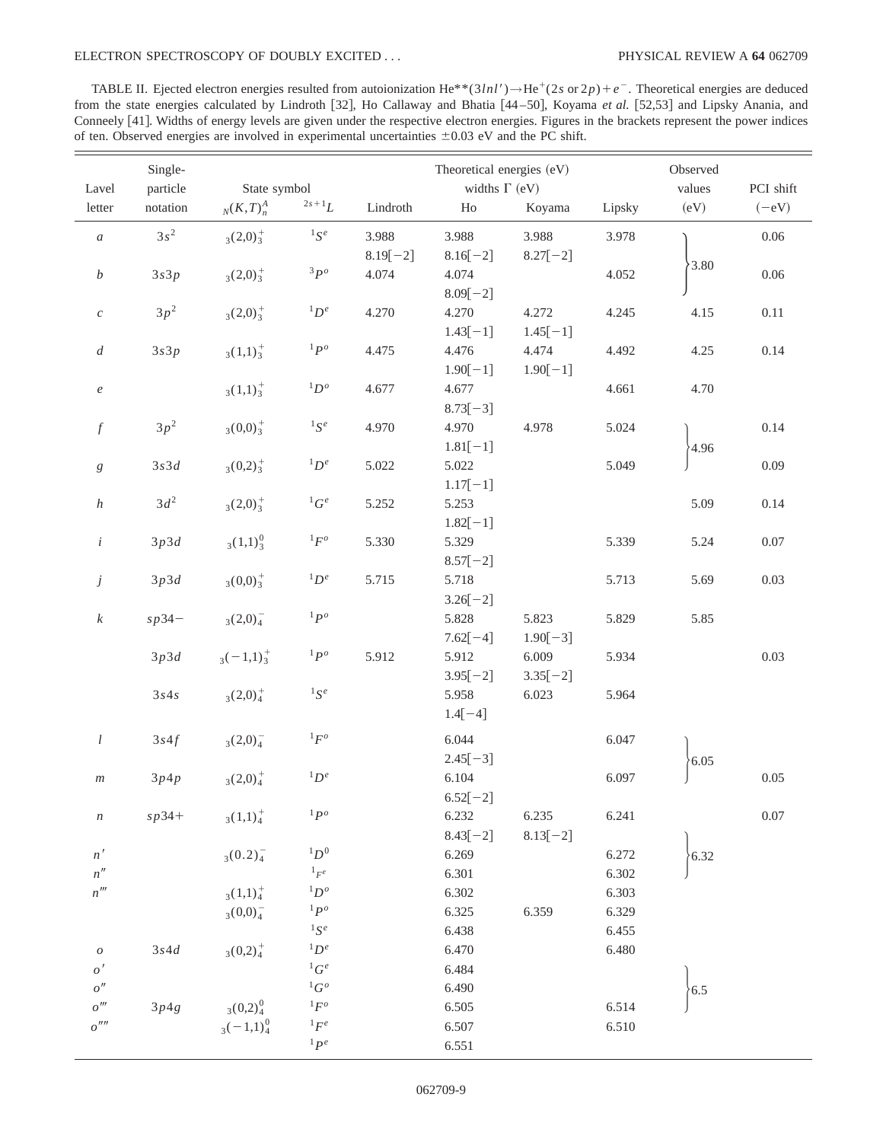TABLE II. Ejected electron energies resulted from autoionization He<sup>\*\*</sup>(3*lnl'*) $\rightarrow$ He<sup>+</sup>(2*s* or 2*p*)+*e*<sup>-</sup>. Theoretical energies are deduced from the state energies calculated by Lindroth [32], Ho Callaway and Bhatia [44–50], Koyama et al. [52,53] and Lipsky Anania, and Conneely [41]. Widths of energy levels are given under the respective electron energies. Figures in the brackets represent the power indices of ten. Observed energies are involved in experimental uncertainties  $\pm 0.03$  eV and the PC shift.

|                          | Single-  |                         |                | Theoretical energies (eV) |            |            |                     | Observed |          |
|--------------------------|----------|-------------------------|----------------|---------------------------|------------|------------|---------------------|----------|----------|
| Lavel                    | particle | State symbol            |                | widths $\Gamma$ (eV)      |            |            | values<br>PCI shift |          |          |
| letter                   | notation | $_N(K,T)_n^A$           | $2s + 1L$      | $\mbox{Lindroth}$         | ${\rm Ho}$ | Koyama     | Lipsky              | (eV)     | $(-eV)$  |
| $\boldsymbol{a}$         | $3s^2$   | $_{3}(2,0)^{+}_{3}$     | $^1S^e$        | 3.988                     | 3.988      | 3.988      | 3.978               |          | $0.06\,$ |
|                          |          |                         |                | $8.19[-2]$                | $8.16[-2]$ | $8.27[-2]$ |                     |          |          |
| $\boldsymbol{b}$         | 3s3p     | $_{3}(2,0)^{+}_{3}$     | $3p^o$         | 4.074                     | 4.074      |            | 4.052               | 3.80     | 0.06     |
|                          |          |                         |                |                           | $8.09[-2]$ |            |                     |          |          |
| $\boldsymbol{c}$         | $3p^2$   | $_3(2,0)^{+}_3$         | ${}^1D^e$      | 4.270                     | 4.270      | 4.272      | 4.245               | 4.15     | $0.11\,$ |
|                          |          |                         |                |                           | $1.43[-1]$ | $1.45[-1]$ |                     |          |          |
| $\overline{d}$           | 3s3p     | $_3(1,1)_3^+$           | $1P^o$         | 4.475                     | 4.476      | 4.474      | 4.492               | 4.25     | 0.14     |
|                          |          |                         |                |                           | $1.90[-1]$ | $1.90[-1]$ |                     |          |          |
| $\boldsymbol{e}$         |          | $_3(1,1)^+$             | ${}^1D^o$      | 4.677                     | 4.677      |            | 4.661               | 4.70     |          |
|                          |          |                         |                |                           | $8.73[-3]$ |            |                     |          |          |
| $\boldsymbol{f}$         | $3p^2$   | $_3(0,0)^{\frac{1}{3}}$ | ${}^1S^e$      | 4.970                     | 4.970      | 4.978      | 5.024               |          | 0.14     |
|                          |          |                         |                |                           | $1.81[-1]$ |            |                     | 4.96     |          |
| $\boldsymbol{g}$         | 3s3d     | $3(0,2)^{+}_{3}$        | ${}^1D^e$      | 5.022                     | 5.022      |            | 5.049               |          | 0.09     |
|                          |          |                         |                |                           | $1.17[-1]$ |            |                     |          |          |
| $\boldsymbol{h}$         | $3d^2$   | $_{3}(2,0)^{+}_{3}$     | ${}^1G^e$      | 5.252                     | 5.253      |            |                     | 5.09     | 0.14     |
|                          |          |                         |                |                           | $1.82[-1]$ |            |                     |          |          |
| $\dot{i}$                | 3p3d     | $_3(1,1)_3^0$           | $^1F^o$        | 5.330                     | 5.329      |            | 5.339               | 5.24     | 0.07     |
|                          |          |                         |                |                           | $8.57[-2]$ |            |                     |          |          |
| $\dot{J}$                | 3p3d     | $_3(0,0)^{+}_3$         | ${}^1D^e$      | 5.715                     | 5.718      |            | 5.713               | 5.69     | 0.03     |
|                          |          |                         |                |                           | $3.26[-2]$ |            |                     |          |          |
| $\boldsymbol{k}$         | $sp34-$  | $_{3}(2,0)^{-}_{4}$     | ${}^1P^o$      |                           | 5.828      | 5.823      | 5.829               | 5.85     |          |
|                          |          |                         |                |                           | $7.62[-4]$ | $1.90[-3]$ |                     |          |          |
|                          | 3p3d     | $3(-1,1)^{+}_{3}$       | $1P^o$         | 5.912                     | 5.912      | 6.009      | 5.934               |          | 0.03     |
|                          |          |                         |                |                           | $3.95[-2]$ | $3.35[-2]$ |                     |          |          |
|                          | 3s4s     | $_{3}(2,0)^{+}_{4}$     | ${}^{1}S^{e}$  |                           | 5.958      | 6.023      | 5.964               |          |          |
|                          |          |                         |                |                           | $1.4[-4]$  |            |                     |          |          |
| l                        | 3s4f     | $_{3}(2,0)_{4}^{-}$     | ${}^1F^o$      |                           | 6.044      |            | 6.047               |          |          |
|                          |          |                         |                |                           | $2.45[-3]$ |            |                     | 6.05     |          |
| $\,m$                    | 3p4p     | $_{3}(2,0)^{+}_{4}$     | ${}^1D^e$      |                           | 6.104      |            | 6.097               |          | 0.05     |
|                          |          |                         |                |                           | $6.52[-2]$ |            |                     |          |          |
| $\, n$                   | $sp34+$  | $_{3}(1,1)^{+}_{4}$     | ${}^1P^o$      |                           | 6.232      | 6.235      | 6.241               |          | $0.07\,$ |
|                          |          |                         |                |                           | $8.43[-2]$ | $8.13[-2]$ |                     |          |          |
| n'                       |          | $_3(0.2)4$              | ${}^1D^0$      |                           | 6.269      |            | 6.272               | 6.32     |          |
| n''                      |          |                         | $^1{_F^e}$     |                           | 6.301      |            | 6.302               |          |          |
| $n^{\prime\prime\prime}$ |          | $_3(1,1)_4^+$           | $^1D^o$        |                           | 6.302      |            | 6.303               |          |          |
|                          |          | $_{3}(0,0)_{4}^{-}$     | $^{1}P^{o}$    |                           | 6.325      | 6.359      | 6.329               |          |          |
|                          |          |                         | $^1S^e$        |                           | 6.438      |            | 6.455               |          |          |
| ${\cal O}$               | $3s4d$   | $_3(0,2)_4^+$           | ${}^1D^e$      |                           | 6.470      |            | 6.480               |          |          |
| o'                       |          |                         | ${}^1G^e$      |                           | 6.484      |            |                     |          |          |
| o''                      |          |                         | ${}^1G^o$      |                           | 6.490      |            |                     | 6.5      |          |
| $o^{\prime\prime\prime}$ | 3p4g     | $_3(0,2)_4^0$           | $^1{\cal F}^o$ |                           | 6.505      |            | 6.514               |          |          |
| o''''                    |          | $_3(-1,1)_4^0$          | ${}^1F^e$      |                           | 6.507      |            | 6.510               |          |          |
|                          |          |                         | $1P^e$         |                           | 6.551      |            |                     |          |          |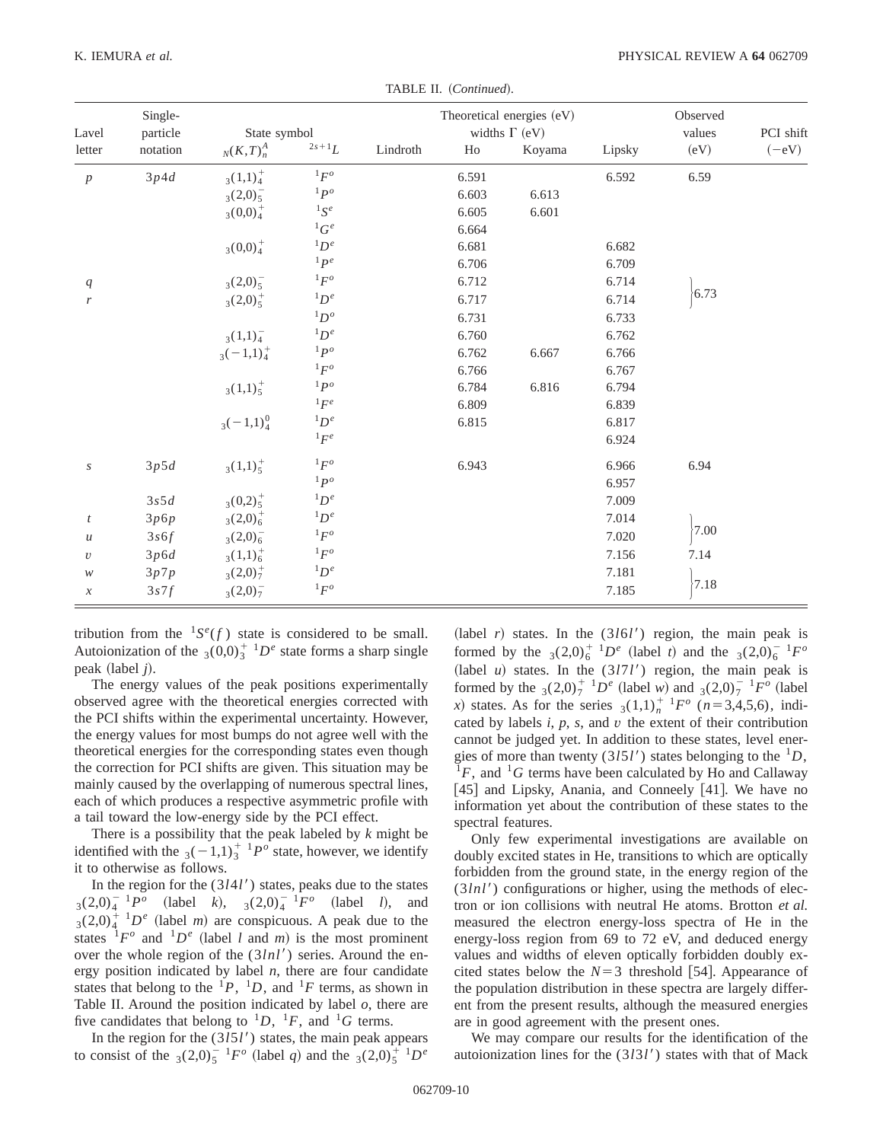| Lavel                      | Single-<br>particle<br>notation | State symbol           |                                   |          | Theoretical energies (eV)<br>widths $\Gamma$ (eV) | Observed<br>values | PCI shift |      |         |
|----------------------------|---------------------------------|------------------------|-----------------------------------|----------|---------------------------------------------------|--------------------|-----------|------|---------|
| letter                     |                                 | $_N(K,T)_n^A$          | $2s+1$ $L$                        | Lindroth | H <sub>0</sub>                                    | Koyama             | Lipsky    | (eV) | $(-eV)$ |
| $\boldsymbol{p}$           | 3p4d                            | $_3(1,1)_4^+$          | ${}^1F^o$                         |          | 6.591                                             |                    | 6.592     | 6.59 |         |
|                            |                                 | $_{3}(2,0)_{5}^{-}$    | ${}^1P^o$                         |          | 6.603                                             | 6.613              |           |      |         |
|                            |                                 | $_{3}(0,0)4$           | $^1S^e$                           |          | 6.605                                             | 6.601              |           |      |         |
|                            |                                 |                        | ${}^1G^e$                         |          | 6.664                                             |                    |           |      |         |
|                            |                                 | $_3(0,0)_4^+$          | ${}^1D^e$                         |          | 6.681                                             |                    | 6.682     |      |         |
|                            |                                 |                        | $1$ $p$ <sup><math>e</math></sup> |          | 6.706                                             |                    | 6.709     |      |         |
| q                          |                                 | $_{3}(2,0)_{5}^{-}$    | ${}^1F^o$                         |          | 6.712                                             |                    | 6.714     |      |         |
| $\boldsymbol{r}$           |                                 | $_{3}(2,0)_{5}^{+}$    | ${}^1D^e$                         |          | 6.717                                             |                    | 6.714     | 6.73 |         |
|                            |                                 |                        | ${}^1D^o$                         |          | 6.731                                             |                    | 6.733     |      |         |
|                            |                                 | $_3(1,1)_4^-$          | ${}^1D^e$                         |          | 6.760                                             |                    | 6.762     |      |         |
|                            |                                 | $_3(-1,1)_4^+$         | $1p^o$                            |          | 6.762                                             | 6.667              | 6.766     |      |         |
|                            |                                 |                        | ${}^1F^o$                         |          | 6.766                                             |                    | 6.767     |      |         |
|                            |                                 | $_3(1,1)_5^+$          | $1p^o$                            |          | 6.784                                             | 6.816              | 6.794     |      |         |
|                            |                                 |                        | ${}^1F^e$                         |          | 6.809                                             |                    | 6.839     |      |         |
|                            |                                 | $_3(-1,1)_4^0$         | ${}^1D^e$                         |          | 6.815                                             |                    | 6.817     |      |         |
|                            |                                 |                        | ${}^1F^e$                         |          |                                                   |                    | 6.924     |      |         |
| $\boldsymbol{S}$           | 3p5d                            | $3(1,1)^{+}_{5}$       | ${}^1F^o$                         |          | 6.943                                             |                    | 6.966     | 6.94 |         |
|                            |                                 |                        | $1p^o$                            |          |                                                   |                    | 6.957     |      |         |
|                            | 3s5d                            | $_3(0,2)_5^+$          | ${}^1D^e$                         |          |                                                   |                    | 7.009     |      |         |
| $\boldsymbol{t}$           | 3p6p                            | $3(2,0)^{+}_{6}$       | ${}^1D^e$                         |          |                                                   |                    | 7.014     |      |         |
| $\mathcal U$               | 3s6f                            | $_{3}(2,0)_{6}^{-}$    | ${}^1F^o$                         |          |                                                   |                    | 7.020     | 7.00 |         |
| $\upsilon$                 | 3p6d                            | $_3(1,1)_6^+$          | ${}^1F^o$                         |          |                                                   |                    | 7.156     | 7.14 |         |
| ${\mathcal W}$             | 3p7p                            | $_{3}(2,0)\frac{1}{7}$ | ${}^1D^e$                         |          |                                                   |                    | 7.181     |      |         |
| $\boldsymbol{\mathcal{X}}$ | 3s7f                            | $3(2,0)^{-}$           | ${}^1F^o$                         |          |                                                   |                    | 7.185     | 7.18 |         |

TABLE II. (Continued).

tribution from the  ${}^{1}S^{e}(f)$  state is considered to be small. Autoionization of the  $_3(0,0)_3^{\dagger}$  1*D*<sup>*e*</sup> state forms a sharp single peak (label *j*).

The energy values of the peak positions experimentally observed agree with the theoretical energies corrected with the PCI shifts within the experimental uncertainty. However, the energy values for most bumps do not agree well with the theoretical energies for the corresponding states even though the correction for PCI shifts are given. This situation may be mainly caused by the overlapping of numerous spectral lines, each of which produces a respective asymmetric profile with a tail toward the low-energy side by the PCI effect.

There is a possibility that the peak labeled by *k* might be identified with the  $3(-1,1)_3^{\text{+1}} P^o$  state, however, we identify it to otherwise as follows.

In the region for the  $(3141)$  states, peaks due to the states  $3(2,0)_4^{-1}P^o$  (label *k*),  $3(2,0)_4^{-1}P^o$  (label *l*), and  $3(2,0)_4^{\frac{1}{4}}$   $1D^e$  (label *m*) are conspicuous. A peak due to the states  ${}^{1}F^{\circ}$  and  ${}^{1}D^{\circ}$  (label *l* and *m*) is the most prominent over the whole region of the  $(3ln l')$  series. Around the energy position indicated by label *n*, there are four candidate states that belong to the  $^{1}P$ ,  $^{1}D$ , and  $^{1}F$  terms, as shown in Table II. Around the position indicated by label *o*, there are five candidates that belong to  ${}^{1}D$ ,  ${}^{1}F$ , and  ${}^{1}G$  terms.

In the region for the  $(3151)$  states, the main peak appears to consist of the  $_3(2,0)_5^{-1}F^o$  (label *q*) and the  $_3(2,0)_5^{-1}D^e$ 

 $(label r)$  states. In the  $(3161)$  region, the main peak is formed by the  $_3(2,0)_6^{\dagger}$   $^1D^e$  (label *t*) and the  $_3(2,0)_6^{\dagger}$   $^1F^o$  $(label  $u$ ) states. In the (3171') region, the main peak is$ formed by the  $_3(2,0)_7^+$  <sup>1</sup>D<sup>*e*</sup> (label *w*) and  $_3(2,0)_7^-$  <sup>1</sup>F<sup>*o*</sup> (label *x*) states. As for the series  $(1,1)^{1}$ <sup>1</sup>*F<sup>o</sup>* (*n*=3,4,5,6), indicated by labels *i*, *p*, *s*, and *v* the extent of their contribution cannot be judged yet. In addition to these states, level energies of more than twenty (3*l51'*) states belonging to the <sup>1</sup>*D*, <sup>1</sup>*F*, and <sup>1</sup>*G* terms have been calculated by Ho and Callaway  $[45]$  and Lipsky, Anania, and Conneely  $[41]$ . We have no information yet about the contribution of these states to the spectral features.

Only few experimental investigations are available on doubly excited states in He, transitions to which are optically forbidden from the ground state, in the energy region of the  $(3lnl')$  configurations or higher, using the methods of electron or ion collisions with neutral He atoms. Brotton *et al.* measured the electron energy-loss spectra of He in the energy-loss region from 69 to 72 eV, and deduced energy values and widths of eleven optically forbidden doubly excited states below the  $N=3$  threshold [54]. Appearance of the population distribution in these spectra are largely different from the present results, although the measured energies are in good agreement with the present ones.

We may compare our results for the identification of the autoionization lines for the (3*l*3*l'*) states with that of Mack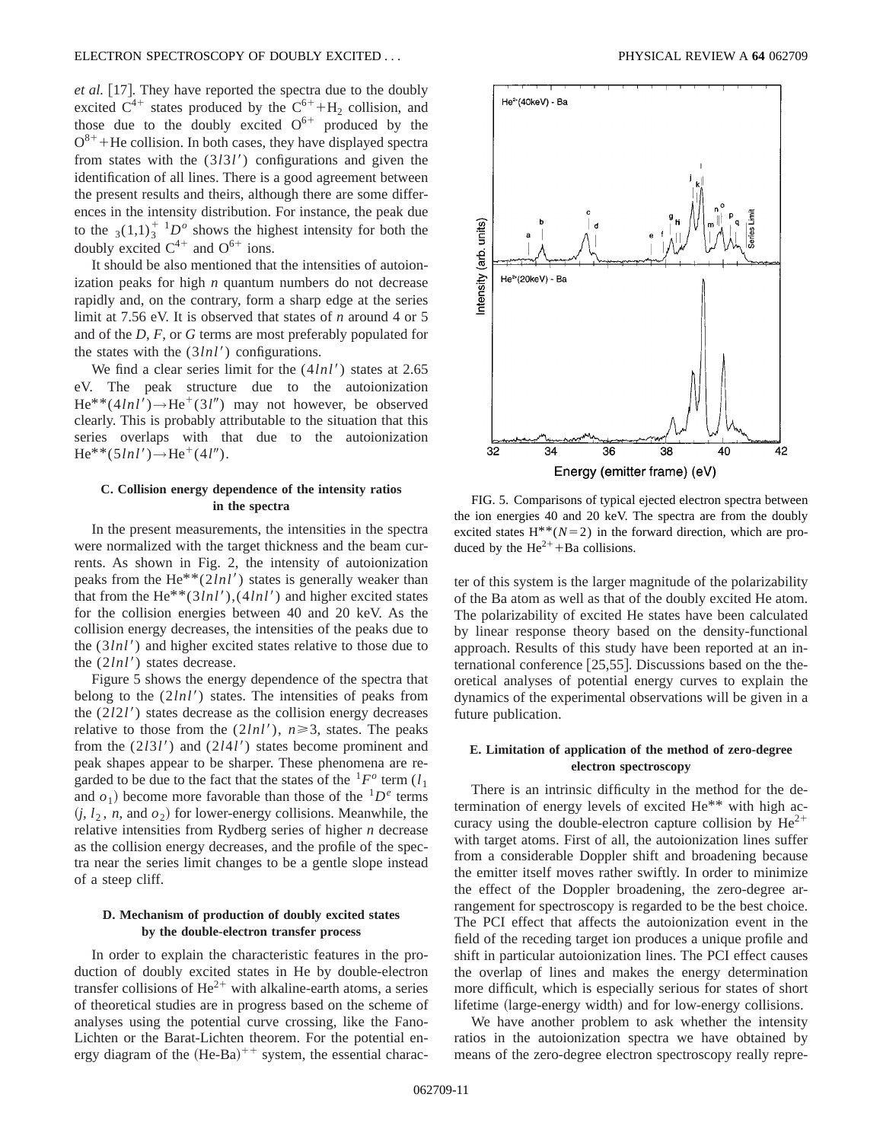*et al.* [17]. They have reported the spectra due to the doubly excited  $C^{4+}$  states produced by the  $C^{6+} + H_2$  collision, and those due to the doubly excited  $O^{6+}$  produced by the  $O^{8+}$ +He collision. In both cases, they have displayed spectra from states with the (3*l*3*l'*) configurations and given the identification of all lines. There is a good agreement between the present results and theirs, although there are some differences in the intensity distribution. For instance, the peak due to the  $3(1,1)_3^{\dagger}$  1*D<sup>o</sup>* shows the highest intensity for both the doubly excited  $C^{4+}$  and  $O^{6+}$  ions.

It should be also mentioned that the intensities of autoionization peaks for high *n* quantum numbers do not decrease rapidly and, on the contrary, form a sharp edge at the series limit at 7.56 eV. It is observed that states of *n* around 4 or 5 and of the *D*, *F*, or *G* terms are most preferably populated for the states with the  $(3lnl')$  configurations.

We find a clear series limit for the  $(4lnl')$  states at 2.65 eV. The peak structure due to the autoionization  $He^{**}(4lnl') \rightarrow He^{+}(3l'')$  may not however, be observed clearly. This is probably attributable to the situation that this series overlaps with that due to the autoionization  $He^{**}(5ln l') \rightarrow He^{+}(4l'').$ 

## **C. Collision energy dependence of the intensity ratios in the spectra**

In the present measurements, the intensities in the spectra were normalized with the target thickness and the beam currents. As shown in Fig. 2, the intensity of autoionization peaks from the  $He^{**}(2lnl')$  states is generally weaker than that from the He<sup>\*\*</sup>(3*lnl'*),(4*lnl'*) and higher excited states for the collision energies between 40 and 20 keV. As the collision energy decreases, the intensities of the peaks due to the  $(3lnl')$  and higher excited states relative to those due to the  $(2lnl')$  states decrease.

Figure 5 shows the energy dependence of the spectra that belong to the  $(2lnl')$  states. The intensities of peaks from the (2*l*2*l'*) states decrease as the collision energy decreases relative to those from the  $(2ln l')$ ,  $n \ge 3$ , states. The peaks from the  $(2131')$  and  $(2141')$  states become prominent and peak shapes appear to be sharper. These phenomena are regarded to be due to the fact that the states of the  ${}^{1}F^{\circ}$  term  $(l_1)$ and  $o_1$ ) become more favorable than those of the  ${}^{1}D^e$  terms  $(i, l_2, n, \text{ and } o_2)$  for lower-energy collisions. Meanwhile, the relative intensities from Rydberg series of higher *n* decrease as the collision energy decreases, and the profile of the spectra near the series limit changes to be a gentle slope instead of a steep cliff.

# **D. Mechanism of production of doubly excited states by the double-electron transfer process**

In order to explain the characteristic features in the production of doubly excited states in He by double-electron transfer collisions of  $\text{He}^{2+}$  with alkaline-earth atoms, a series of theoretical studies are in progress based on the scheme of analyses using the potential curve crossing, like the Fano-Lichten or the Barat-Lichten theorem. For the potential energy diagram of the  $(He-Ba)^{++}$  system, the essential charac-



FIG. 5. Comparisons of typical ejected electron spectra between the ion energies 40 and 20 keV. The spectra are from the doubly excited states  $H^{**}(N=2)$  in the forward direction, which are produced by the  $He^{2+} + Ba$  collisions.

ter of this system is the larger magnitude of the polarizability of the Ba atom as well as that of the doubly excited He atom. The polarizability of excited He states have been calculated by linear response theory based on the density-functional approach. Results of this study have been reported at an international conference  $[25,55]$ . Discussions based on the theoretical analyses of potential energy curves to explain the dynamics of the experimental observations will be given in a future publication.

# **E. Limitation of application of the method of zero-degree electron spectroscopy**

There is an intrinsic difficulty in the method for the determination of energy levels of excited He\*\* with high accuracy using the double-electron capture collision by  $He^{2+}$ with target atoms. First of all, the autoionization lines suffer from a considerable Doppler shift and broadening because the emitter itself moves rather swiftly. In order to minimize the effect of the Doppler broadening, the zero-degree arrangement for spectroscopy is regarded to be the best choice. The PCI effect that affects the autoionization event in the field of the receding target ion produces a unique profile and shift in particular autoionization lines. The PCI effect causes the overlap of lines and makes the energy determination more difficult, which is especially serious for states of short lifetime (large-energy width) and for low-energy collisions.

We have another problem to ask whether the intensity ratios in the autoionization spectra we have obtained by means of the zero-degree electron spectroscopy really repre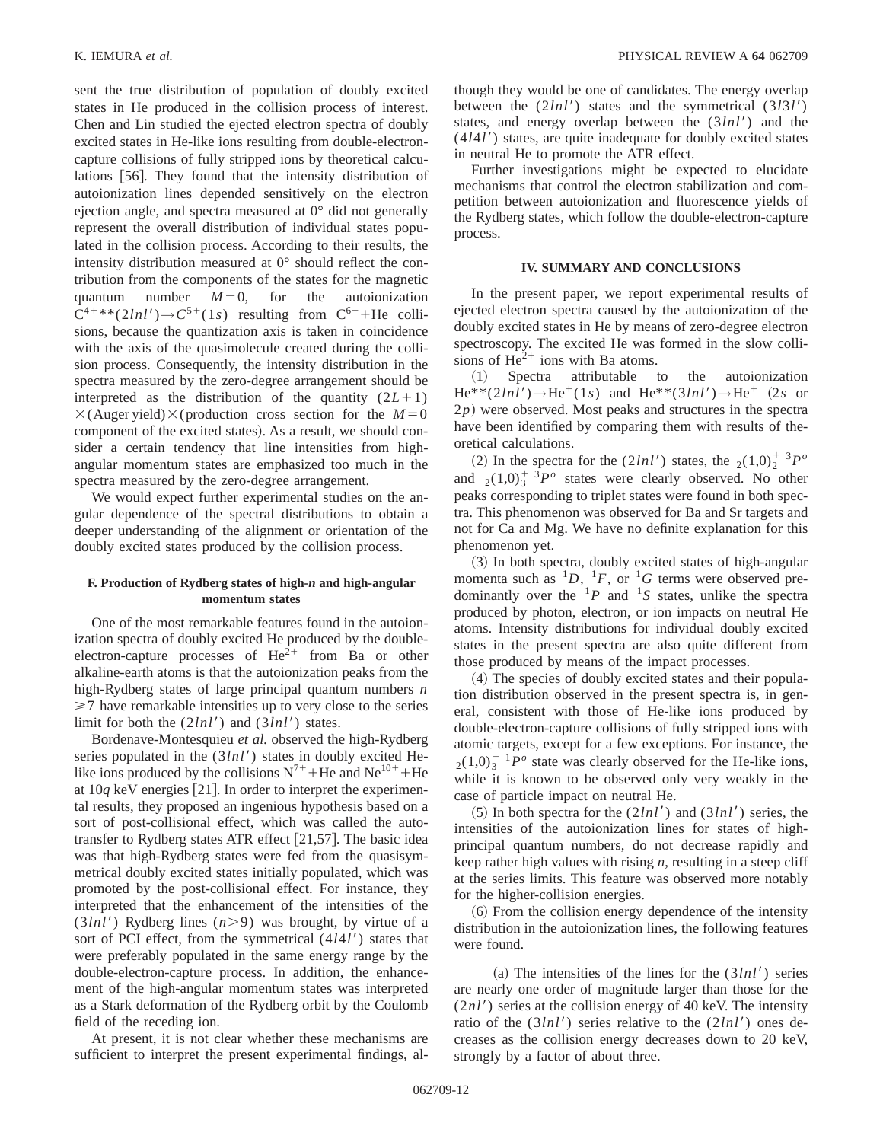sent the true distribution of population of doubly excited states in He produced in the collision process of interest. Chen and Lin studied the ejected electron spectra of doubly excited states in He-like ions resulting from double-electroncapture collisions of fully stripped ions by theoretical calculations [56]. They found that the intensity distribution of autoionization lines depended sensitively on the electron ejection angle, and spectra measured at 0° did not generally represent the overall distribution of individual states populated in the collision process. According to their results, the intensity distribution measured at 0° should reflect the contribution from the components of the states for the magnetic quantum number  $M=0$ , for the autoionization  $C^{4+\ast\ast}(2lnl') \rightarrow C^{5+}(1s)$  resulting from  $C^{6+}$ +He collisions, because the quantization axis is taken in coincidence with the axis of the quasimolecule created during the collision process. Consequently, the intensity distribution in the spectra measured by the zero-degree arrangement should be interpreted as the distribution of the quantity  $(2L+1)$  $\times$ (Auger yield) $\times$ (production cross section for the *M* = 0 component of the excited states). As a result, we should consider a certain tendency that line intensities from highangular momentum states are emphasized too much in the spectra measured by the zero-degree arrangement.

We would expect further experimental studies on the angular dependence of the spectral distributions to obtain a deeper understanding of the alignment or orientation of the doubly excited states produced by the collision process.

## **F. Production of Rydberg states of high-***n* **and high-angular momentum states**

One of the most remarkable features found in the autoionization spectra of doubly excited He produced by the doubleelectron-capture processes of  $He^{2+}$  from Ba or other alkaline-earth atoms is that the autoionization peaks from the high-Rydberg states of large principal quantum numbers *n*  $\geq$  7 have remarkable intensities up to very close to the series limit for both the  $(2lnl')$  and  $(3lnl')$  states.

Bordenave-Montesquieu *et al.* observed the high-Rydberg series populated in the  $(3lnl')$  states in doubly excited Helike ions produced by the collisions  $N^{7+}$ +He and Ne<sup>10+</sup>+He at  $10q$  keV energies [21]. In order to interpret the experimental results, they proposed an ingenious hypothesis based on a sort of post-collisional effect, which was called the autotransfer to Rydberg states ATR effect  $[21,57]$ . The basic idea was that high-Rydberg states were fed from the quasisymmetrical doubly excited states initially populated, which was promoted by the post-collisional effect. For instance, they interpreted that the enhancement of the intensities of the  $(3lnl')$  Rydberg lines  $(n>9)$  was brought, by virtue of a sort of PCI effect, from the symmetrical  $(4*l*4*l*)$  states that were preferably populated in the same energy range by the double-electron-capture process. In addition, the enhancement of the high-angular momentum states was interpreted as a Stark deformation of the Rydberg orbit by the Coulomb field of the receding ion.

At present, it is not clear whether these mechanisms are sufficient to interpret the present experimental findings, although they would be one of candidates. The energy overlap between the  $(2ln l')$  states and the symmetrical  $(3l3l')$ states, and energy overlap between the  $(3ln l')$  and the  $(4141')$  states, are quite inadequate for doubly excited states in neutral He to promote the ATR effect.

Further investigations might be expected to elucidate mechanisms that control the electron stabilization and competition between autoionization and fluorescence yields of the Rydberg states, which follow the double-electron-capture process.

## **IV. SUMMARY AND CONCLUSIONS**

In the present paper, we report experimental results of ejected electron spectra caused by the autoionization of the doubly excited states in He by means of zero-degree electron spectroscopy. The excited He was formed in the slow collisions of  $\text{He}^{2+}$  ions with Ba atoms.

~1! Spectra attributable to the autoionization  $He^{**}(2lnl') \rightarrow He^{+}(1s)$  and  $He^{**}(3lnl') \rightarrow He^{+}$  (2*s* or  $2p$ ) were observed. Most peaks and structures in the spectra have been identified by comparing them with results of theoretical calculations.

(2) In the spectra for the  $(2ln l')$  states, the  $_2(1,0)_2^{\dagger}$  <sup>3</sup> $P^{\circ}$ and  $_2(1,0)^{\frac{1}{3}}P^o$  states were clearly observed. No other peaks corresponding to triplet states were found in both spectra. This phenomenon was observed for Ba and Sr targets and not for Ca and Mg. We have no definite explanation for this phenomenon yet.

~3! In both spectra, doubly excited states of high-angular momenta such as  ${}^{1}D, {}^{1}F,$  or  ${}^{1}G$  terms were observed predominantly over the  ${}^{1}P$  and  ${}^{1}S$  states, unlike the spectra produced by photon, electron, or ion impacts on neutral He atoms. Intensity distributions for individual doubly excited states in the present spectra are also quite different from those produced by means of the impact processes.

~4! The species of doubly excited states and their population distribution observed in the present spectra is, in general, consistent with those of He-like ions produced by double-electron-capture collisions of fully stripped ions with atomic targets, except for a few exceptions. For instance, the  $_{2}(1,0)_{3}^{-1}P^{\circ}$  state was clearly observed for the He-like ions, while it is known to be observed only very weakly in the case of particle impact on neutral He.

 $(5)$  In both spectra for the  $(2lnl')$  and  $(3lnl')$  series, the intensities of the autoionization lines for states of highprincipal quantum numbers, do not decrease rapidly and keep rather high values with rising *n*, resulting in a steep cliff at the series limits. This feature was observed more notably for the higher-collision energies.

 $(6)$  From the collision energy dependence of the intensity distribution in the autoionization lines, the following features were found.

(a) The intensities of the lines for the  $(3ln l')$  series are nearly one order of magnitude larger than those for the  $(2nl')$  series at the collision energy of 40 keV. The intensity ratio of the (3*lnl'*) series relative to the (2*lnl'*) ones decreases as the collision energy decreases down to 20 keV, strongly by a factor of about three.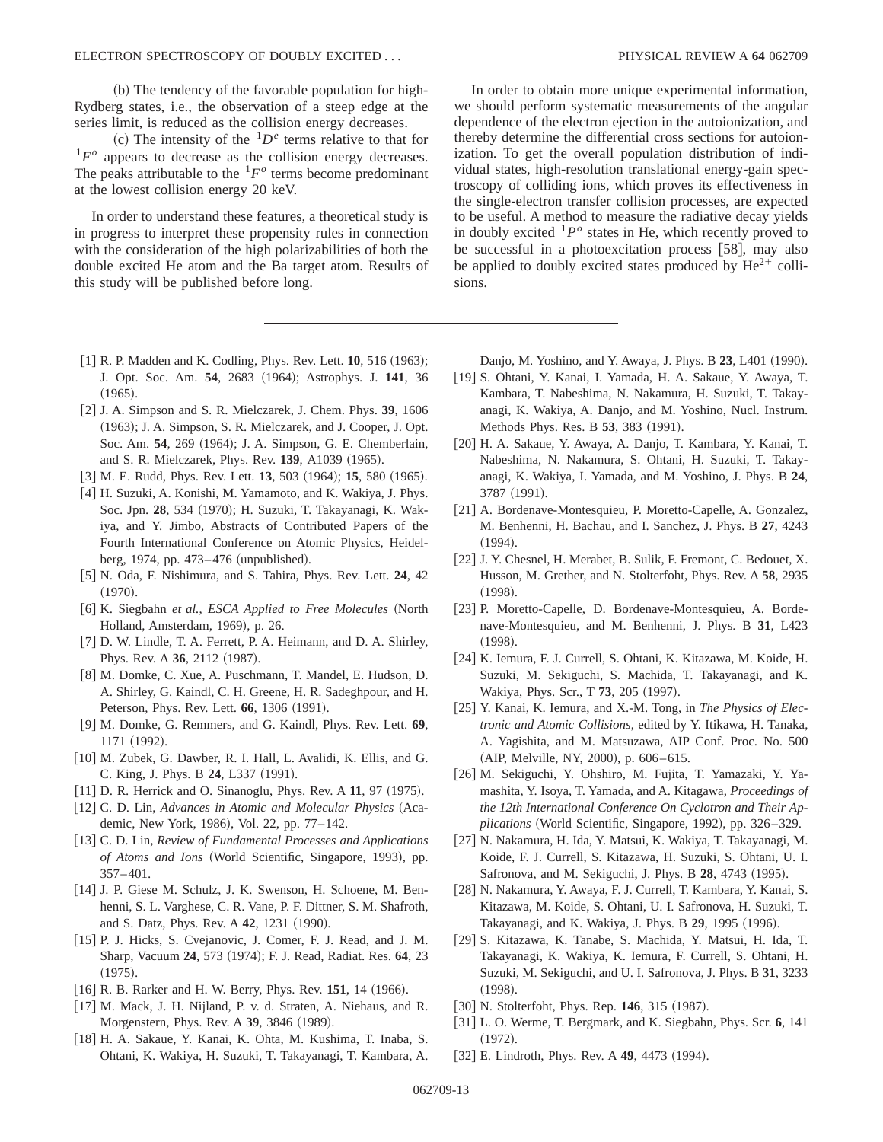(b) The tendency of the favorable population for high-Rydberg states, i.e., the observation of a steep edge at the series limit, is reduced as the collision energy decreases.

(c) The intensity of the  ${}^{1}D^e$  terms relative to that for  ${}^{1}F^{\circ}$  appears to decrease as the collision energy decreases. The peaks attributable to the  ${}^{1}F^{\circ}$  terms become predominant at the lowest collision energy 20 keV.

In order to understand these features, a theoretical study is in progress to interpret these propensity rules in connection with the consideration of the high polarizabilities of both the double excited He atom and the Ba target atom. Results of this study will be published before long.

In order to obtain more unique experimental information, we should perform systematic measurements of the angular dependence of the electron ejection in the autoionization, and thereby determine the differential cross sections for autoionization. To get the overall population distribution of individual states, high-resolution translational energy-gain spectroscopy of colliding ions, which proves its effectiveness in the single-electron transfer collision processes, are expected to be useful. A method to measure the radiative decay yields in doubly excited  ${}^{1}P^{\circ}$  states in He, which recently proved to be successful in a photoexcitation process  $[58]$ , may also be applied to doubly excited states produced by  $He^{2+}$  collisions.

- $[1]$  R. P. Madden and K. Codling, Phys. Rev. Lett. **10**, 516  $(1963)$ ; J. Opt. Soc. Am. 54, 2683 (1964); Astrophys. J. 141, 36  $(1965).$
- @2# J. A. Simpson and S. R. Mielczarek, J. Chem. Phys. **39**, 1606 (1963); J. A. Simpson, S. R. Mielczarek, and J. Cooper, J. Opt. Soc. Am. **54**, 269 (1964); J. A. Simpson, G. E. Chemberlain, and S. R. Mielczarek, Phys. Rev. 139, A1039 (1965).
- [3] M. E. Rudd, Phys. Rev. Lett. **13**, 503 (1964); **15**, 580 (1965).
- [4] H. Suzuki, A. Konishi, M. Yamamoto, and K. Wakiya, J. Phys. Soc. Jpn. 28, 534 (1970); H. Suzuki, T. Takayanagi, K. Wakiya, and Y. Jimbo, Abstracts of Contributed Papers of the Fourth International Conference on Atomic Physics, Heidelberg, 1974, pp.  $473-476$  (unpublished).
- @5# N. Oda, F. Nishimura, and S. Tahira, Phys. Rev. Lett. **24**, 42  $(1970).$
- [6] K. Siegbahn et al., *ESCA Applied to Free Molecules* (North Holland, Amsterdam, 1969), p. 26.
- [7] D. W. Lindle, T. A. Ferrett, P. A. Heimann, and D. A. Shirley, Phys. Rev. A 36, 2112 (1987).
- [8] M. Domke, C. Xue, A. Puschmann, T. Mandel, E. Hudson, D. A. Shirley, G. Kaindl, C. H. Greene, H. R. Sadeghpour, and H. Peterson, Phys. Rev. Lett. **66**, 1306 (1991).
- [9] M. Domke, G. Remmers, and G. Kaindl, Phys. Rev. Lett. 69, 1171 (1992).
- [10] M. Zubek, G. Dawber, R. I. Hall, L. Avalidi, K. Ellis, and G. C. King, J. Phys. B 24, L337 (1991).
- [11] D. R. Herrick and O. Sinanoglu, Phys. Rev. A 11, 97 (1975).
- [12] C. D. Lin, *Advances in Atomic and Molecular Physics* (Academic, New York, 1986), Vol. 22, pp. 77-142.
- [13] C. D. Lin, *Review of Fundamental Processes and Applications* of Atoms and Ions (World Scientific, Singapore, 1993), pp. 357–401.
- [14] J. P. Giese M. Schulz, J. K. Swenson, H. Schoene, M. Benhenni, S. L. Varghese, C. R. Vane, P. F. Dittner, S. M. Shafroth, and S. Datz, Phys. Rev. A **42**, 1231 (1990).
- [15] P. J. Hicks, S. Cvejanovic, J. Comer, F. J. Read, and J. M. Sharp, Vacuum **24**, 573 ~1974!; F. J. Read, Radiat. Res. **64**, 23  $(1975).$
- [16] R. B. Rarker and H. W. Berry, Phys. Rev. 151, 14 (1966).
- [17] M. Mack, J. H. Nijland, P. v. d. Straten, A. Niehaus, and R. Morgenstern, Phys. Rev. A 39, 3846 (1989).
- [18] H. A. Sakaue, Y. Kanai, K. Ohta, M. Kushima, T. Inaba, S. Ohtani, K. Wakiya, H. Suzuki, T. Takayanagi, T. Kambara, A.

Danjo, M. Yoshino, and Y. Awaya, J. Phys. B 23, L401 (1990).

- [19] S. Ohtani, Y. Kanai, I. Yamada, H. A. Sakaue, Y. Awaya, T. Kambara, T. Nabeshima, N. Nakamura, H. Suzuki, T. Takayanagi, K. Wakiya, A. Danjo, and M. Yoshino, Nucl. Instrum. Methods Phys. Res. B 53, 383 (1991).
- [20] H. A. Sakaue, Y. Awaya, A. Danjo, T. Kambara, Y. Kanai, T. Nabeshima, N. Nakamura, S. Ohtani, H. Suzuki, T. Takayanagi, K. Wakiya, I. Yamada, and M. Yoshino, J. Phys. B **24**, 3787 (1991).
- [21] A. Bordenave-Montesquieu, P. Moretto-Capelle, A. Gonzalez, M. Benhenni, H. Bachau, and I. Sanchez, J. Phys. B **27**, 4243  $(1994).$
- [22] J. Y. Chesnel, H. Merabet, B. Sulik, F. Fremont, C. Bedouet, X. Husson, M. Grether, and N. Stolterfoht, Phys. Rev. A **58**, 2935  $(1998).$
- [23] P. Moretto-Capelle, D. Bordenave-Montesquieu, A. Bordenave-Montesquieu, and M. Benhenni, J. Phys. B **31**, L423  $(1998).$
- [24] K. Iemura, F. J. Currell, S. Ohtani, K. Kitazawa, M. Koide, H. Suzuki, M. Sekiguchi, S. Machida, T. Takayanagi, and K. Wakiya, Phys. Scr., T 73, 205 (1997).
- [25] Y. Kanai, K. Iemura, and X.-M. Tong, in *The Physics of Electronic and Atomic Collisions*, edited by Y. Itikawa, H. Tanaka, A. Yagishita, and M. Matsuzawa, AIP Conf. Proc. No. 500 (AIP, Melville, NY, 2000), p. 606–615.
- [26] M. Sekiguchi, Y. Ohshiro, M. Fujita, T. Yamazaki, Y. Yamashita, Y. Isoya, T. Yamada, and A. Kitagawa, *Proceedings of the 12th International Conference On Cyclotron and Their Applications* (World Scientific, Singapore, 1992), pp. 326–329.
- [27] N. Nakamura, H. Ida, Y. Matsui, K. Wakiya, T. Takayanagi, M. Koide, F. J. Currell, S. Kitazawa, H. Suzuki, S. Ohtani, U. I. Safronova, and M. Sekiguchi, J. Phys. B 28, 4743 (1995).
- [28] N. Nakamura, Y. Awaya, F. J. Currell, T. Kambara, Y. Kanai, S. Kitazawa, M. Koide, S. Ohtani, U. I. Safronova, H. Suzuki, T. Takayanagi, and K. Wakiya, J. Phys. B 29, 1995 (1996).
- [29] S. Kitazawa, K. Tanabe, S. Machida, Y. Matsui, H. Ida, T. Takayanagi, K. Wakiya, K. Iemura, F. Currell, S. Ohtani, H. Suzuki, M. Sekiguchi, and U. I. Safronova, J. Phys. B **31**, 3233  $(1998).$
- [30] N. Stolterfoht, Phys. Rep. 146, 315 (1987).
- [31] L. O. Werme, T. Bergmark, and K. Siegbahn, Phys. Scr. 6, 141  $(1972).$
- [32] E. Lindroth, Phys. Rev. A **49**, 4473 (1994).